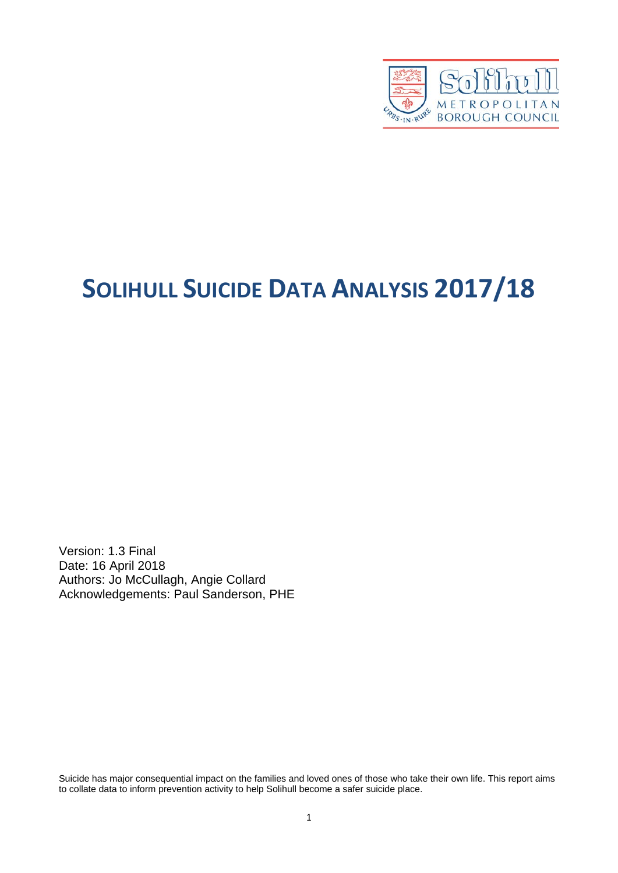

# **SOLIHULL SUICIDE DATA ANALYSIS 2017/18**

Version: 1.3 Final Date: 16 April 2018 Authors: Jo McCullagh, Angie Collard Acknowledgements: Paul Sanderson, PHE

Suicide has major consequential impact on the families and loved ones of those who take their own life. This report aims to collate data to inform prevention activity to help Solihull become a safer suicide place.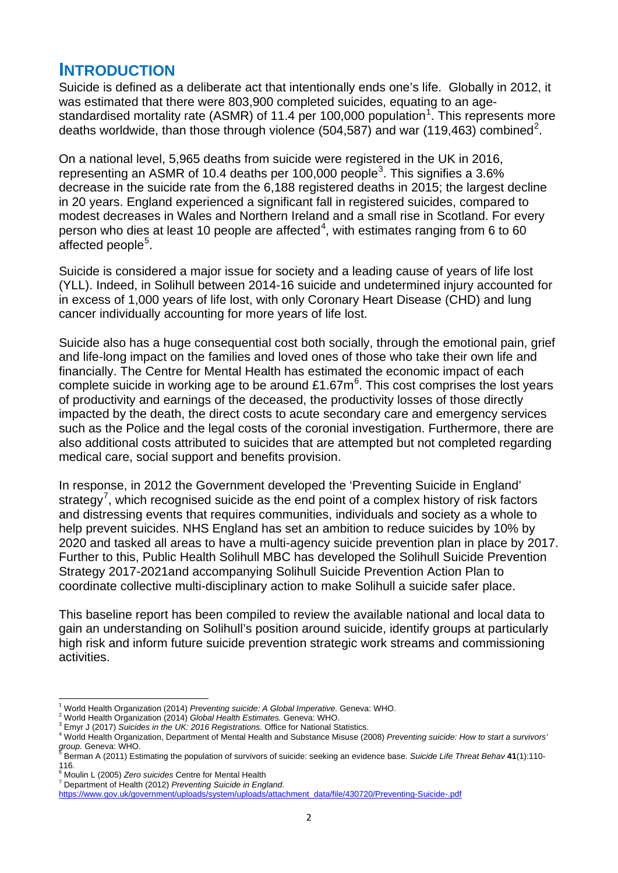# **INTRODUCTION**

Suicide is defined as a deliberate act that intentionally ends one's life. Globally in 2012, it was estimated that there were 803,900 completed suicides, equating to an age-standardised mortality rate (ASMR) of [1](#page-1-0)1.4 per 100,000 population<sup>1</sup>. This represents more deaths worldwide, than those through violence (504,587) and war (119,463) combined<sup>[2](#page-1-1)</sup>.

On a national level, 5,965 deaths from suicide were registered in the UK in 2016, representing an ASMR of 10.4 deaths per 100,000 people<sup>[3](#page-1-2)</sup>. This signifies a 3.6% decrease in the suicide rate from the 6,188 registered deaths in 2015; the largest decline in 20 years. England experienced a significant fall in registered suicides, compared to modest decreases in Wales and Northern Ireland and a small rise in Scotland. For every person who dies at least 10 people are affected<sup>[4](#page-1-3)</sup>, with estimates ranging from 6 to 60 affected people<sup>[5](#page-1-4)</sup>.

Suicide is considered a major issue for society and a leading cause of years of life lost (YLL). Indeed, in Solihull between 2014-16 suicide and undetermined injury accounted for in excess of 1,000 years of life lost, with only Coronary Heart Disease (CHD) and lung cancer individually accounting for more years of life lost.

Suicide also has a huge consequential cost both socially, through the emotional pain, grief and life-long impact on the families and loved ones of those who take their own life and financially. The Centre for Mental Health has estimated the economic impact of each complete suicide in working age to be around £1.[6](#page-1-5)7m<sup>6</sup>. This cost comprises the lost years of productivity and earnings of the deceased, the productivity losses of those directly impacted by the death, the direct costs to acute secondary care and emergency services such as the Police and the legal costs of the coronial investigation. Furthermore, there are also additional costs attributed to suicides that are attempted but not completed regarding medical care, social support and benefits provision.

In response, in 2012 the Government developed the 'Preventing Suicide in England' strategy<sup>[7](#page-1-6)</sup>, which recognised suicide as the end point of a complex history of risk factors and distressing events that requires communities, individuals and society as a whole to help prevent suicides. NHS England has set an ambition to reduce suicides by 10% by 2020 and tasked all areas to have a multi-agency suicide prevention plan in place by 2017. Further to this, Public Health Solihull MBC has developed the Solihull Suicide Prevention Strategy 2017-2021and accompanying Solihull Suicide Prevention Action Plan to coordinate collective multi-disciplinary action to make Solihull a suicide safer place.

This baseline report has been compiled to review the available national and local data to gain an understanding on Solihull's position around suicide, identify groups at particularly high risk and inform future suicide prevention strategic work streams and commissioning activities.

 $\overline{a}$ 

<sup>&</sup>lt;sup>1</sup> World Health Organization (2014) *Preventing suicide: A Global Imperative.* Geneva: WHO.<br><sup>2</sup> World Health Organization (2014) Clobal Health Estimates, Ceneva: WHO.

<span id="page-1-1"></span><span id="page-1-0"></span><sup>&</sup>lt;sup>2</sup> World Health Organization (2014) *Global Health Estimates.* Geneva: WHO.<br><sup>3</sup> Emyr J (2017) *Suicides in the UK: 2016 Registrations.* Office for National Statistics.

<span id="page-1-3"></span><span id="page-1-2"></span>World Health Organization, Department of Mental Health and Substance Misuse (2008) *Preventing suicide: How to start a survivors' group.* Geneva: WHO.<br><sup>5</sup> Pers:

<span id="page-1-4"></span>Berman A (2011) Estimating the population of survivors of suicide: seeking an evidence base. *Suicide Life Threat Behav* **41**(1):110- 116.<br><sup>6</sup> Moi

<span id="page-1-5"></span><sup>&</sup>lt;sup>o</sup> Moulin L (2005) *Zero suicides* Centre for Mental Health<br><sup>7</sup> Department of Health (2012) *Preventing Suicide in England*.

<span id="page-1-6"></span>

[https://www.gov.uk/government/uploads/system/uploads/attachment\\_data/file/430720/Preventing-Suicide-.pdf](https://www.gov.uk/government/uploads/system/uploads/attachment_data/file/430720/Preventing-Suicide-.pdf)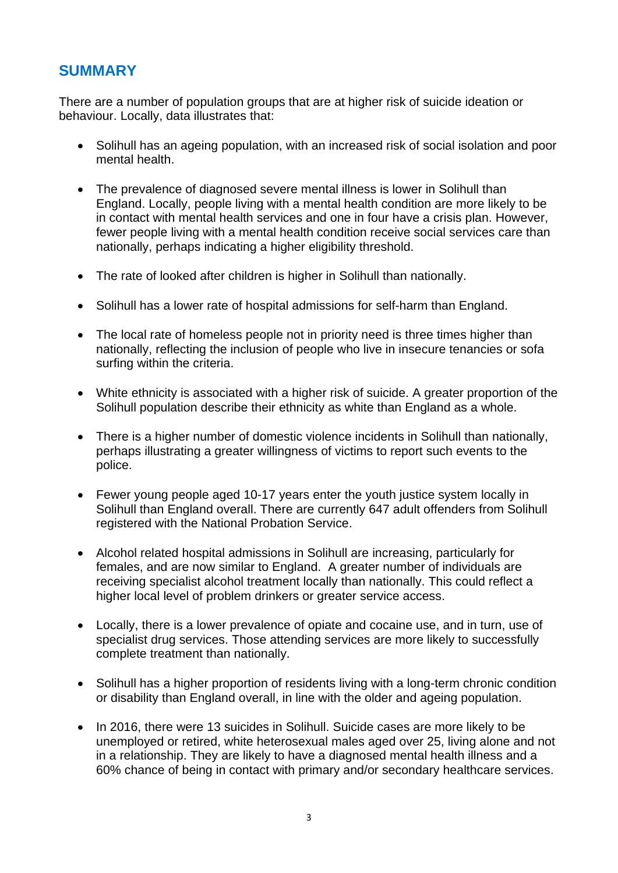## **SUMMARY**

There are a number of population groups that are at higher risk of suicide ideation or behaviour. Locally, data illustrates that:

- Solihull has an ageing population, with an increased risk of social isolation and poor mental health.
- The prevalence of diagnosed severe mental illness is lower in Solihull than England. Locally, people living with a mental health condition are more likely to be in contact with mental health services and one in four have a crisis plan. However, fewer people living with a mental health condition receive social services care than nationally, perhaps indicating a higher eligibility threshold.
- The rate of looked after children is higher in Solihull than nationally.
- Solihull has a lower rate of hospital admissions for self-harm than England.
- The local rate of homeless people not in priority need is three times higher than nationally, reflecting the inclusion of people who live in insecure tenancies or sofa surfing within the criteria.
- White ethnicity is associated with a higher risk of suicide. A greater proportion of the Solihull population describe their ethnicity as white than England as a whole.
- There is a higher number of domestic violence incidents in Solihull than nationally, perhaps illustrating a greater willingness of victims to report such events to the police.
- Fewer young people aged 10-17 years enter the youth justice system locally in Solihull than England overall. There are currently 647 adult offenders from Solihull registered with the National Probation Service.
- Alcohol related hospital admissions in Solihull are increasing, particularly for females, and are now similar to England. A greater number of individuals are receiving specialist alcohol treatment locally than nationally. This could reflect a higher local level of problem drinkers or greater service access.
- Locally, there is a lower prevalence of opiate and cocaine use, and in turn, use of specialist drug services. Those attending services are more likely to successfully complete treatment than nationally.
- Solihull has a higher proportion of residents living with a long-term chronic condition or disability than England overall, in line with the older and ageing population.
- In 2016, there were 13 suicides in Solihull. Suicide cases are more likely to be unemployed or retired, white heterosexual males aged over 25, living alone and not in a relationship. They are likely to have a diagnosed mental health illness and a 60% chance of being in contact with primary and/or secondary healthcare services.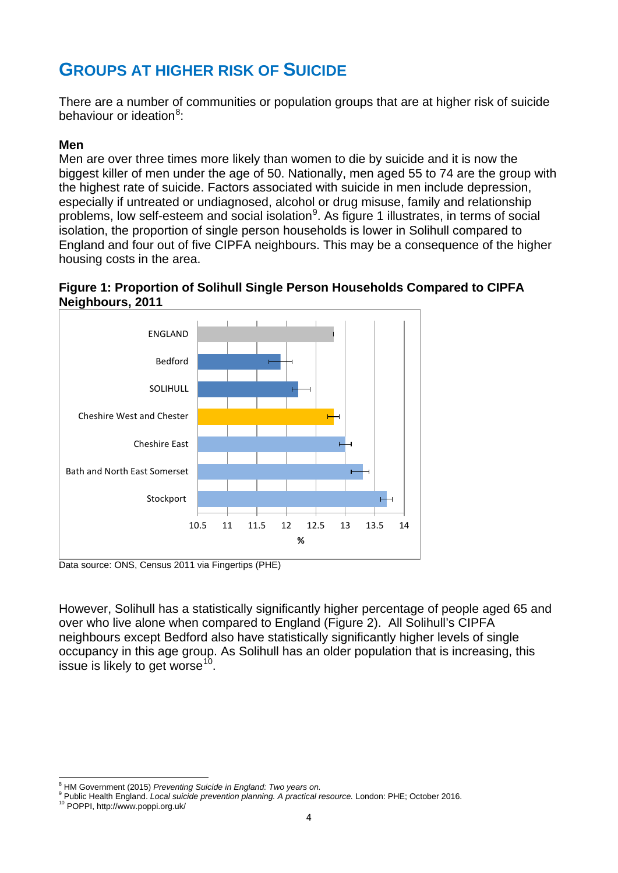# **GROUPS AT HIGHER RISK OF SUICIDE**

There are a number of communities or population groups that are at higher risk of suicide behaviour or ideation<sup>[8](#page-3-0)</sup>:

#### **Men**

Men are over three times more likely than women to die by suicide and it is now the biggest killer of men under the age of 50. Nationally, men aged 55 to 74 are the group with the highest rate of suicide. Factors associated with suicide in men include depression, especially if untreated or undiagnosed, alcohol or drug misuse, family and relationship problems, low self-esteem and social isolation<sup>[9](#page-3-1)</sup>. As figure 1 illustrates, in terms of social isolation, the proportion of single person households is lower in Solihull compared to England and four out of five CIPFA neighbours. This may be a consequence of the higher housing costs in the area.





Data source: ONS, Census 2011 via Fingertips (PHE)

However, Solihull has a statistically significantly higher percentage of people aged 65 and over who live alone when compared to England (Figure 2). All Solihull's CIPFA neighbours except Bedford also have statistically significantly higher levels of single occupancy in this age group. As Solihull has an older population that is increasing, this issue is likely to get worse<sup>10</sup>.

<sup>&</sup>lt;sup>8</sup> HM Government (2015) *Preventing Suicide in England: Two years on.*<br><sup>9</sup> Bublic Hoalth England, Local quicide provention planning, A proctical.  $\overline{a}$ 

<span id="page-3-1"></span><span id="page-3-0"></span><sup>&</sup>lt;sup>9</sup> Public Health England. *Local suicide prevention planning. A practical resource.* London: PHE; October 2016.<br><sup>10</sup> POPPI, http://www.poppi.org.uk/

<span id="page-3-2"></span>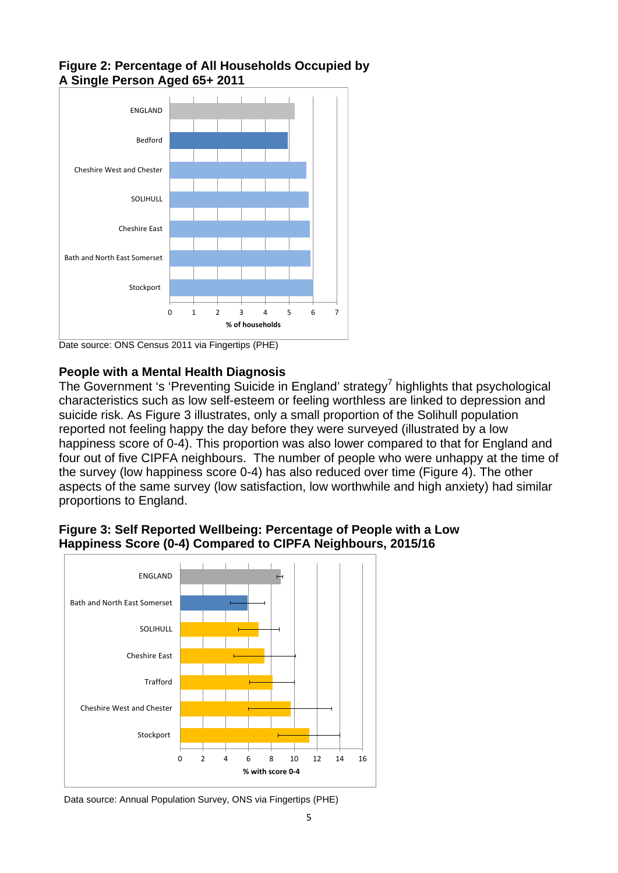

#### **Figure 2: Percentage of All Households Occupied by A Single Person Aged 65+ 2011**

Date source: ONS Census 2011 via Fingertips (PHE)

#### **People with a Mental Health Diagnosis**

The Government 's 'Preventing Suicide in England' strategy<sup>7</sup> highlights that psychological characteristics such as low self-esteem or feeling worthless are linked to depression and suicide risk. As Figure 3 illustrates, only a small proportion of the Solihull population reported not feeling happy the day before they were surveyed (illustrated by a low happiness score of 0-4). This proportion was also lower compared to that for England and four out of five CIPFA neighbours. The number of people who were unhappy at the time of the survey (low happiness score 0-4) has also reduced over time (Figure 4). The other aspects of the same survey (low satisfaction, low worthwhile and high anxiety) had similar proportions to England.



#### **Figure 3: Self Reported Wellbeing: Percentage of People with a Low Happiness Score (0-4) Compared to CIPFA Neighbours, 2015/16**

Data source: Annual Population Survey, ONS via Fingertips (PHE)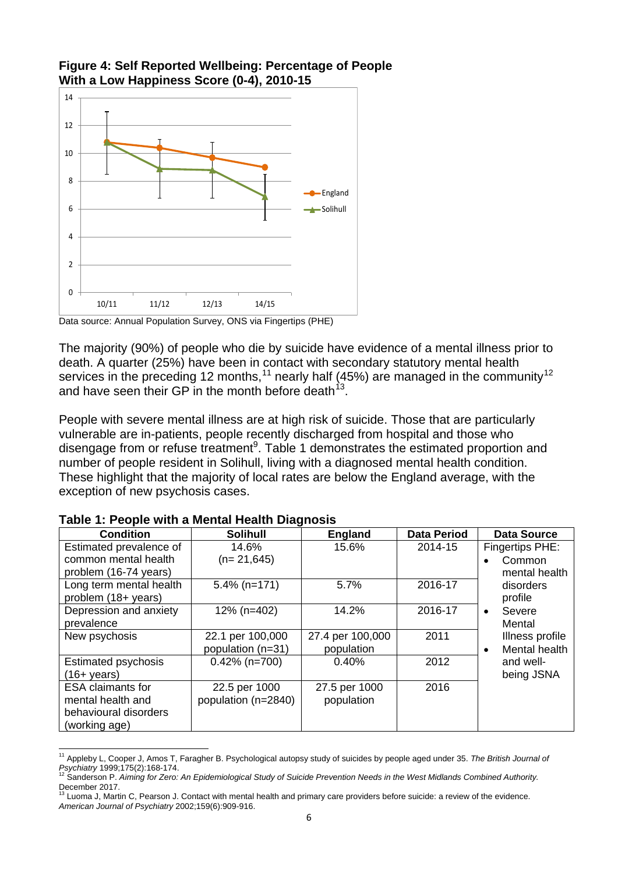

**Figure 4: Self Reported Wellbeing: Percentage of People With a Low Happiness Score (0-4), 2010-15** 

Data source: Annual Population Survey, ONS via Fingertips (PHE)

The majority (90%) of people who die by suicide have evidence of a mental illness prior to death. A quarter (25%) have been in contact with secondary statutory mental health services in the preceding 12 months,<sup>[11](#page-5-0)</sup> nearly half (45%) are managed in the community<sup>[12](#page-5-1)</sup> and have seen their GP in the month before death  $13$ .

People with severe mental illness are at high risk of suicide. Those that are particularly vulnerable are in-patients, people recently discharged from hospital and those who disengage from or refuse treatment<sup>9</sup>. Table 1 demonstrates the estimated proportion and number of people resident in Solihull, living with a diagnosed mental health condition. These highlight that the majority of local rates are below the England average, with the exception of new psychosis cases.

| <b>Condition</b>           | <b>Solihull</b>     | <b>England</b>   | <b>Data Period</b> | <b>Data Source</b>         |
|----------------------------|---------------------|------------------|--------------------|----------------------------|
| Estimated prevalence of    | 14.6%               | 15.6%            | 2014-15            | Fingertips PHE:            |
| common mental health       | $(n=21,645)$        |                  |                    | Common                     |
| problem (16-74 years)      |                     |                  |                    | mental health              |
| Long term mental health    | $5.4\%$ (n=171)     | 5.7%             | 2016-17            | disorders                  |
| problem (18+ years)        |                     |                  |                    | profile                    |
| Depression and anxiety     | 12% (n=402)         | 14.2%            | 2016-17            | Severe<br>$\bullet$        |
| prevalence                 |                     |                  |                    | Mental                     |
| New psychosis              | 22.1 per 100,000    | 27.4 per 100,000 | 2011               | Illness profile            |
|                            | population (n=31)   | population       |                    | Mental health<br>$\bullet$ |
| <b>Estimated psychosis</b> | $0.42\%$ (n=700)    | 0.40%            | 2012               | and well-                  |
| $(16 + \mathrm{years})$    |                     |                  |                    | being JSNA                 |
| <b>ESA claimants for</b>   | 22.5 per 1000       | 27.5 per 1000    | 2016               |                            |
| mental health and          | population (n=2840) | population       |                    |                            |
| behavioural disorders      |                     |                  |                    |                            |
| (working age)              |                     |                  |                    |                            |

#### **Table 1: People with a Mental Health Diagnosis**

<span id="page-5-0"></span><sup>11</sup> Appleby L, Cooper J, Amos T, Faragher B. Psychological autopsy study of suicides by people aged under 35. *The British Journal of*  Psychiatry 1999;175(2):168-174.<br>Psychiatry 1999;175(2):168-174.<br><sup>12</sup> Sanderson P. *Aiming for Zero: An Epidemiological Study of Suicide Prevention Needs in the West Midlands Combined Authority.*  $\overline{a}$ 

<span id="page-5-2"></span><span id="page-5-1"></span>December 2017.<br><sup>13</sup> Luoma J, Martin C, Pearson J. Contact with mental health and primary care providers before suicide: a review of the evidence. *American Journal of Psychiatry* 2002;159(6):909-916.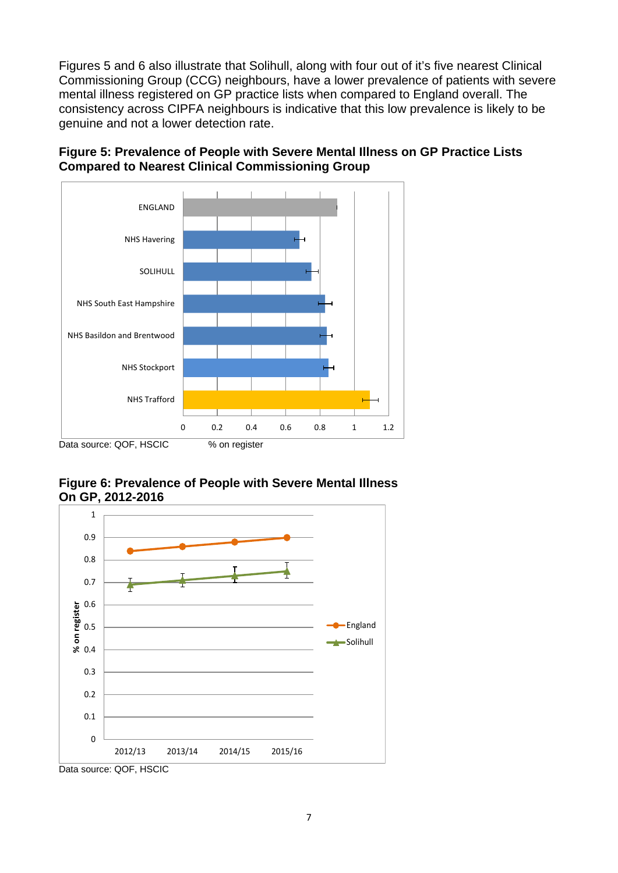Figures 5 and 6 also illustrate that Solihull, along with four out of it's five nearest Clinical Commissioning Group (CCG) neighbours, have a lower prevalence of patients with severe mental illness registered on GP practice lists when compared to England overall. The consistency across CIPFA neighbours is indicative that this low prevalence is likely to be genuine and not a lower detection rate.





#### **Figure 6: Prevalence of People with Severe Mental Illness On GP, 2012-2016**



Data source: QOF, HSCIC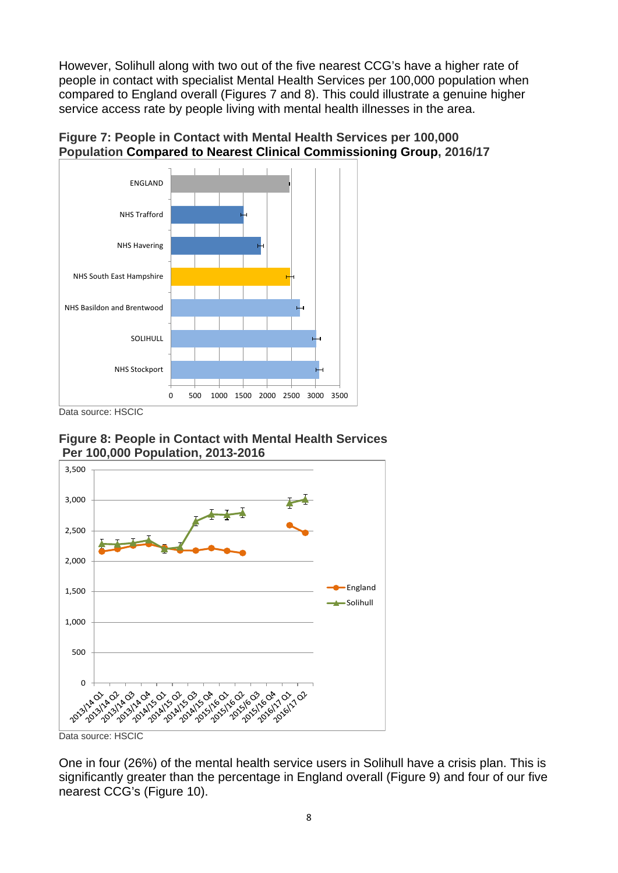However, Solihull along with two out of the five nearest CCG's have a higher rate of people in contact with specialist Mental Health Services per 100,000 population when compared to England overall (Figures 7 and 8). This could illustrate a genuine higher service access rate by people living with mental health illnesses in the area.





Data source: HSCIC

**Figure 8: People in Contact with Mental Health Services Per 100,000 Population, 2013-2016**



One in four (26%) of the mental health service users in Solihull have a crisis plan. This is significantly greater than the percentage in England overall (Figure 9) and four of our five nearest CCG's (Figure 10).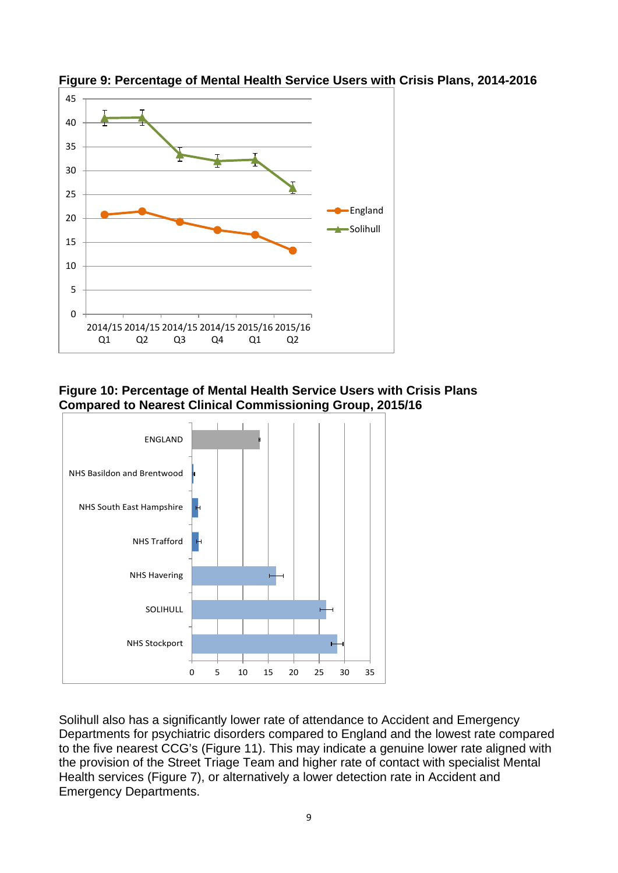

**Figure 9: Percentage of Mental Health Service Users with Crisis Plans, 2014-2016** 

**Figure 10: Percentage of Mental Health Service Users with Crisis Plans Compared to Nearest Clinical Commissioning Group, 2015/16** 



Solihull also has a significantly lower rate of attendance to Accident and Emergency Departments for psychiatric disorders compared to England and the lowest rate compared to the five nearest CCG's (Figure 11). This may indicate a genuine lower rate aligned with the provision of the Street Triage Team and higher rate of contact with specialist Mental Health services (Figure 7), or alternatively a lower detection rate in Accident and Emergency Departments.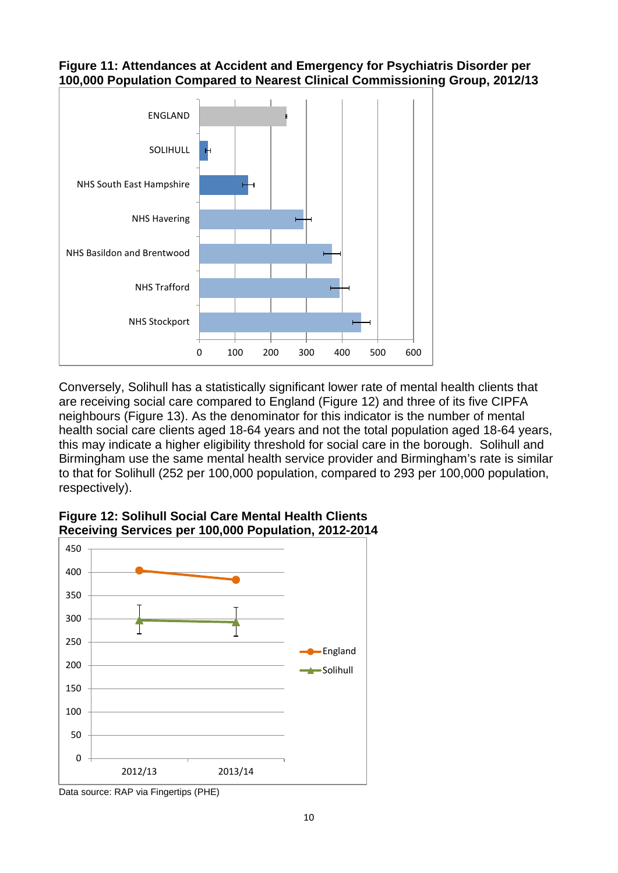#### **Figure 11: Attendances at Accident and Emergency for Psychiatris Disorder per 100,000 Population Compared to Nearest Clinical Commissioning Group, 2012/13**



Conversely, Solihull has a statistically significant lower rate of mental health clients that are receiving social care compared to England (Figure 12) and three of its five CIPFA neighbours (Figure 13). As the denominator for this indicator is the number of mental health social care clients aged 18-64 years and not the total population aged 18-64 years, this may indicate a higher eligibility threshold for social care in the borough. Solihull and Birmingham use the same mental health service provider and Birmingham's rate is similar to that for Solihull (252 per 100,000 population, compared to 293 per 100,000 population, respectively).



#### **Figure 12: Solihull Social Care Mental Health Clients Receiving Services per 100,000 Population, 2012-2014**

Data source: RAP via Fingertips (PHE)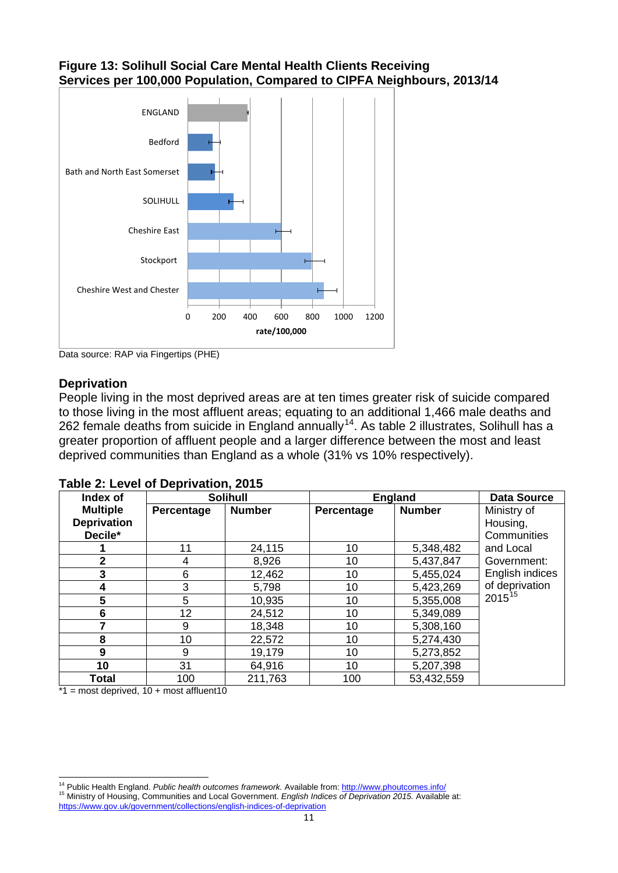#### **Figure 13: Solihull Social Care Mental Health Clients Receiving Services per 100,000 Population, Compared to CIPFA Neighbours, 2013/14**



Data source: RAP via Fingertips (PHE)

#### **Deprivation**

People living in the most deprived areas are at ten times greater risk of suicide compared to those living in the most affluent areas; equating to an additional 1,466 male deaths and 262 female deaths from suicide in England annually<sup>14</sup>. As table 2 illustrates, Solihull has a greater proportion of affluent people and a larger difference between the most and least deprived communities than England as a whole (31% vs 10% respectively).

| Index of                                         | . . <b>.</b> | <b>Solihull</b> |            | <b>England</b> | <b>Data Source</b>                     |
|--------------------------------------------------|--------------|-----------------|------------|----------------|----------------------------------------|
| <b>Multiple</b><br><b>Deprivation</b><br>Decile* | Percentage   | <b>Number</b>   | Percentage | <b>Number</b>  | Ministry of<br>Housing,<br>Communities |
|                                                  | 11           | 24,115          | 10         | 5,348,482      | and Local                              |
| $\mathbf{2}$                                     | 4            | 8,926           | 10         | 5,437,847      | Government:                            |
| 3                                                | 6            | 12,462          | 10         | 5,455,024      | English indices                        |
| 4                                                | 3            | 5,798           | 10         | 5,423,269      | of deprivation                         |
| $5\phantom{1}$                                   | 5            | 10,935          | 10         | 5,355,008      | 2015 <sup>15</sup>                     |
| $6\phantom{1}6$                                  | 12           | 24,512          | 10         | 5,349,089      |                                        |
| 7                                                | 9            | 18,348          | 10         | 5,308,160      |                                        |
| 8                                                | 10           | 22,572          | 10         | 5,274,430      |                                        |
| 9                                                | 9            | 19,179          | 10         | 5,273,852      |                                        |
| 10                                               | 31           | 64,916          | 10         | 5,207,398      |                                        |
| <b>Total</b>                                     | 100          | 211,763         | 100        | 53,432,559     |                                        |

#### **Table 2: Level of Deprivation, 2015**

 $*1$  = most deprived, 10 + most affluent10

 $\overline{a}$ 

<span id="page-10-1"></span><span id="page-10-0"></span><sup>&</sup>lt;sup>14</sup> Public Health England. *Public health outcomes framework*. Available from[: http://www.phoutcomes.info/](http://www.phoutcomes.info/)<br><sup>15</sup> Ministry of Housing, Communities and Local Government. *English Indices of Deprivation 2015*. Available at: <https://www.gov.uk/government/collections/english-indices-of-deprivation>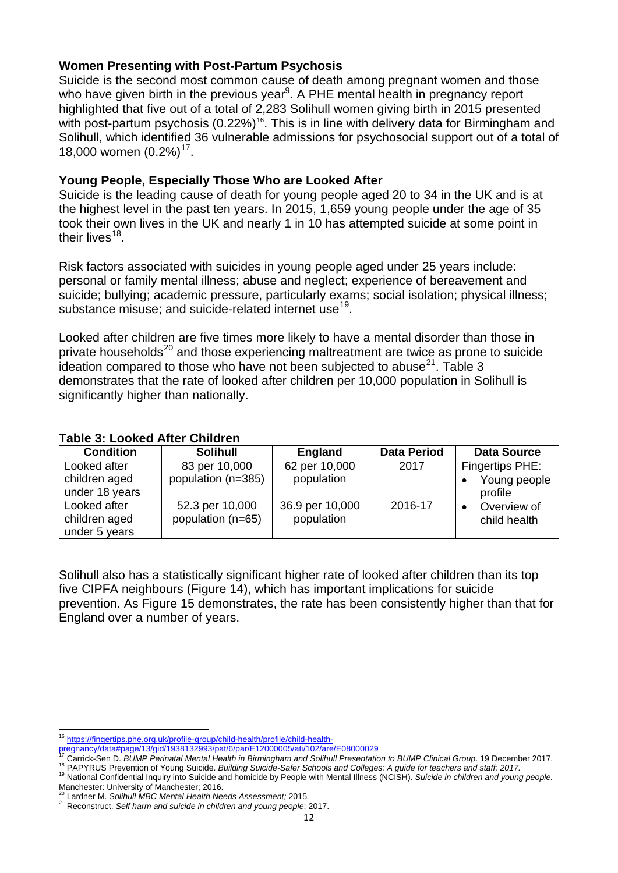#### **Women Presenting with Post-Partum Psychosis**

Suicide is the second most common cause of death among pregnant women and those who have given birth in the previous year<sup>9</sup>. A PHE mental health in pregnancy report highlighted that five out of a total of 2,283 Solihull women giving birth in 2015 presented with post-partum psychosis (0.22%)<sup>[16](#page-11-0)</sup>. This is in line with delivery data for Birmingham and Solihull, which identified 36 vulnerable admissions for psychosocial support out of a total of 18,000 women  $(0.2\%)$ <sup>[17](#page-11-1)</sup>.

#### **Young People, Especially Those Who are Looked After**

Suicide is the leading cause of death for young people aged 20 to 34 in the UK and is at the highest level in the past ten years. In 2015, 1,659 young people under the age of 35 took their own lives in the UK and nearly 1 in 10 has attempted suicide at some point in their lives $18$ .

Risk factors associated with suicides in young people aged under 25 years include: personal or family mental illness; abuse and neglect; experience of bereavement and suicide; bullying; academic pressure, particularly exams; social isolation; physical illness; substance misuse; and suicide-related internet use<sup>[19](#page-11-3)</sup>.

Looked after children are five times more likely to have a mental disorder than those in private households<sup>[20](#page-11-4)</sup> and those experiencing maltreatment are twice as prone to suicide ideation compared to those who have not been subjected to abuse $^{21}$ . Table 3 demonstrates that the rate of looked after children per 10,000 population in Solihull is significantly higher than nationally.

#### **Table 3: Looked After Children**

| <b>Condition</b>                                | <b>Solihull</b>                      | England                       | <b>Data Period</b> | <b>Data Source</b>                         |
|-------------------------------------------------|--------------------------------------|-------------------------------|--------------------|--------------------------------------------|
| Looked after<br>children aged<br>under 18 years | 83 per 10,000<br>population (n=385)  | 62 per 10,000<br>population   | 2017               | Fingertips PHE:<br>Young people<br>profile |
| Looked after<br>children aged<br>under 5 years  | 52.3 per 10,000<br>population (n=65) | 36.9 per 10,000<br>population | 2016-17            | Overview of<br>child health                |

Solihull also has a statistically significant higher rate of looked after children than its top five CIPFA neighbours (Figure 14), which has important implications for suicide prevention. As Figure 15 demonstrates, the rate has been consistently higher than that for England over a number of years.

<sup>&</sup>lt;sup>16</sup> [https://fingertips.phe.org.uk/profile-group/child-health/profile/child-health-](https://fingertips.phe.org.uk/profile-group/child-health/profile/child-health-pregnancy/data%23page/13/gid/1938132993/pat/6/par/E12000005/ati/102/are/E08000029) $\overline{a}$ 

<span id="page-11-1"></span><span id="page-11-0"></span>pregnancy/data#page/13/gid/1938132993/pat/6/par/E12000005/ati/102/are/E08000029<br><sup>17</sup> Carrick-Sen D. *BUMP Perinatal Mental Health in Birmingham and Solihull Presentation to BUMP Clinical Group. 19 December 2017.<br><sup>18</sup> PAPYR* 

<span id="page-11-3"></span><span id="page-11-2"></span>Manchester: University of Manchester; 2016.<br><sup>20</sup> Lardner M. Solihull MBC Mental Health Needs Assessment; 2015.

<span id="page-11-5"></span><span id="page-11-4"></span><sup>20</sup> Lardner M. *Solihull MBC Mental Health Needs Assessment;* 2015*.* 21 Reconstruct. *Self harm and suicide in children and young people*; 2017.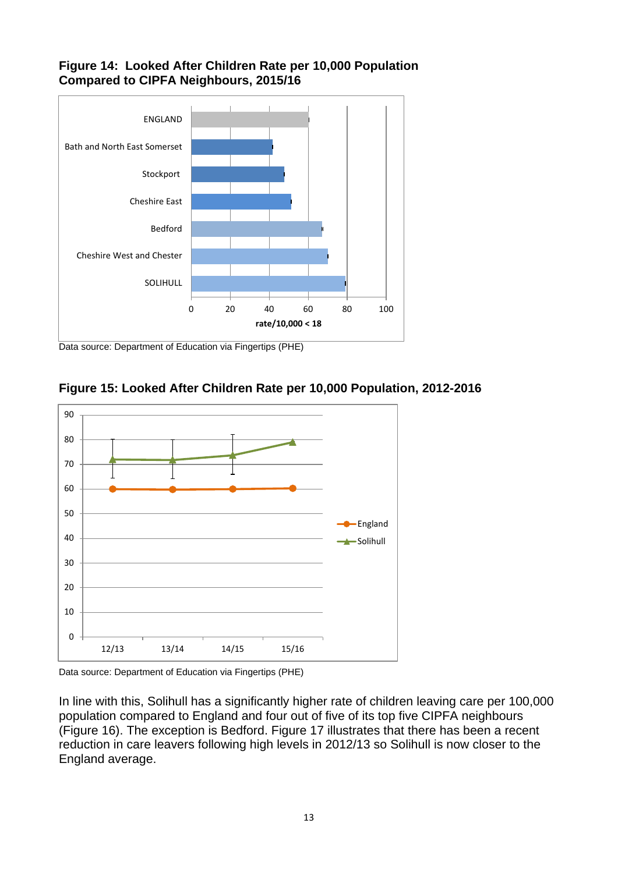#### **Figure 14: Looked After Children Rate per 10,000 Population Compared to CIPFA Neighbours, 2015/16**



Data source: Department of Education via Fingertips (PHE)





Data source: Department of Education via Fingertips (PHE)

In line with this, Solihull has a significantly higher rate of children leaving care per 100,000 population compared to England and four out of five of its top five CIPFA neighbours (Figure 16). The exception is Bedford. Figure 17 illustrates that there has been a recent reduction in care leavers following high levels in 2012/13 so Solihull is now closer to the England average.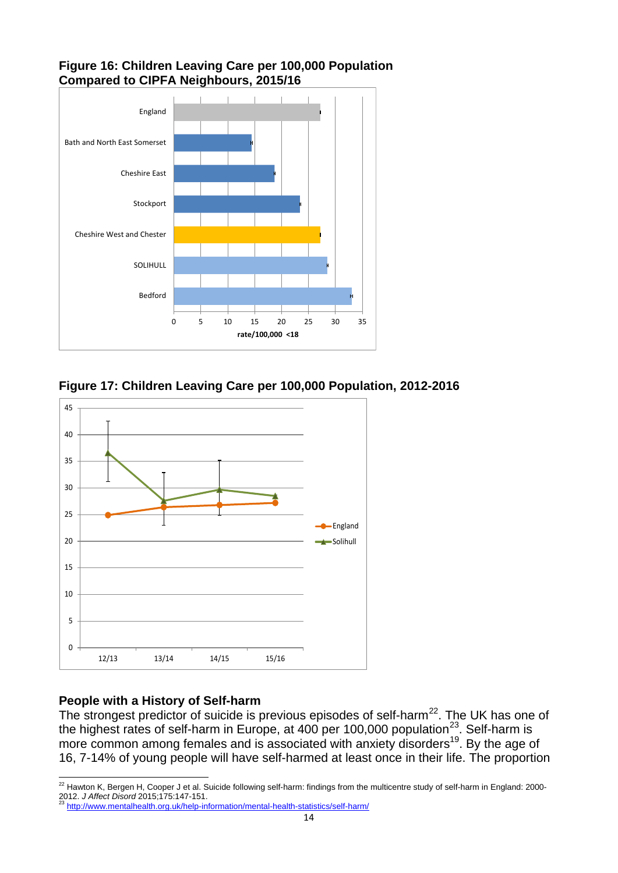#### **Figure 16: Children Leaving Care per 100,000 Population Compared to CIPFA Neighbours, 2015/16**



**Figure 17: Children Leaving Care per 100,000 Population, 2012-2016**



### **People with a History of Self-harm**

The strongest predictor of suicide is previous episodes of self-harm<sup>[22](#page-13-0)</sup>. The UK has one of the highest rates of self-harm in Europe, at 400 per 100,000 population<sup>[23](#page-13-1)</sup>. Self-harm is more common among females and is associated with anxiety disorders<sup>19</sup>. By the age of 16, 7-14% of young people will have self-harmed at least once in their life. The proportion

<span id="page-13-0"></span> $^{22}$  Hawton K, Bergen H, Cooper J et al. Suicide following self-harm: findings from the multicentre study of self-harm in England: 2000-2012. *J Affect Disord* 2015;175:147-151. 23 <http://www.mentalhealth.org.uk/help-information/mental-health-statistics/self-harm/>  $\overline{a}$ 

<span id="page-13-1"></span>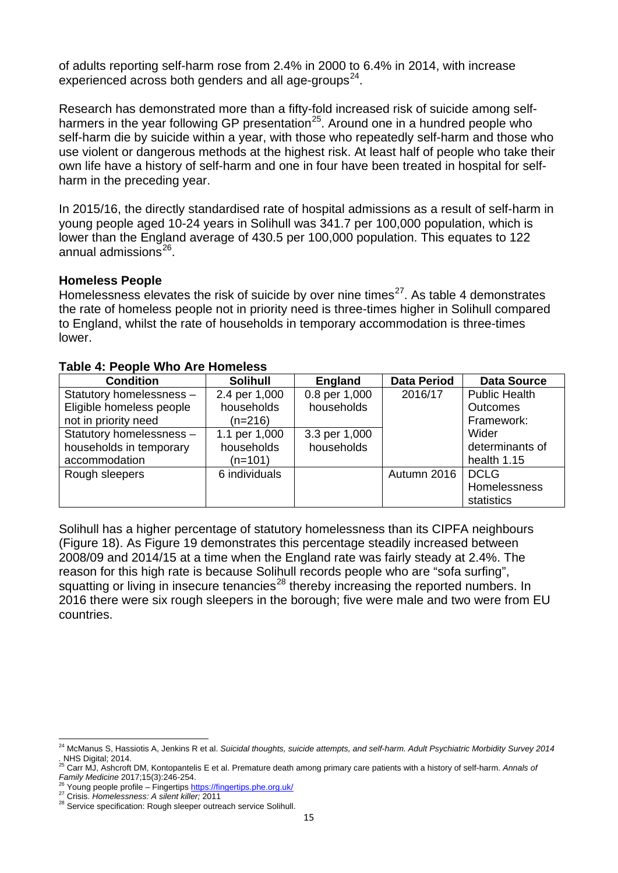of adults reporting self-harm rose from 2.4% in 2000 to 6.4% in 2014, with increase experienced across both genders and all age-groups $^{24}$  $^{24}$  $^{24}$ .

Research has demonstrated more than a fifty-fold increased risk of suicide among selfharmers in the year following GP presentation<sup>25</sup>. Around one in a hundred people who self-harm die by suicide within a year, with those who repeatedly self-harm and those who use violent or dangerous methods at the highest risk. At least half of people who take their own life have a history of self-harm and one in four have been treated in hospital for selfharm in the preceding year.

In 2015/16, the directly standardised rate of hospital admissions as a result of self-harm in young people aged 10-24 years in Solihull was 341.7 per 100,000 population, which is lower than the England average of 430.5 per 100,000 population. This equates to 122 annual admissions $26$ .

#### **Homeless People**

Homelessness elevates the risk of suicide by over nine times $^{27}$ . As table 4 demonstrates the rate of homeless people not in priority need is three-times higher in Solihull compared to England, whilst the rate of households in temporary accommodation is three-times lower.

| <b>Condition</b>         | <b>Solihull</b> | <b>England</b> | <b>Data Period</b> | <b>Data Source</b>   |
|--------------------------|-----------------|----------------|--------------------|----------------------|
| Statutory homelessness - | 2.4 per 1,000   | 0.8 per 1,000  | 2016/17            | <b>Public Health</b> |
| Eligible homeless people | households      | households     |                    | <b>Outcomes</b>      |
| not in priority need     | $(n=216)$       |                |                    | Framework:           |
| Statutory homelessness - | 1.1 per 1,000   | 3.3 per 1,000  |                    | Wider                |
| households in temporary  | households      | households     |                    | determinants of      |
| accommodation            | $(n=101)$       |                |                    | health 1.15          |
| Rough sleepers           | 6 individuals   |                | Autumn 2016        | <b>DCLG</b>          |
|                          |                 |                |                    | Homelessness         |
|                          |                 |                |                    | statistics           |

#### **Table 4: People Who Are Homeless**

Solihull has a higher percentage of statutory homelessness than its CIPFA neighbours (Figure 18). As Figure 19 demonstrates this percentage steadily increased between 2008/09 and 2014/15 at a time when the England rate was fairly steady at 2.4%. The reason for this high rate is because Solihull records people who are "sofa surfing", squatting or living in insecure tenancies<sup>[28](#page-14-4)</sup> thereby increasing the reported numbers. In 2016 there were six rough sleepers in the borough; five were male and two were from EU countries.

<span id="page-14-0"></span><sup>&</sup>lt;sup>24</sup> McManus S, Hassiotis A, Jenkins R et al. *Suicidal thoughts, suicide attempts, and self-harm. Adult Psychiatric Morbidity Survey 2014 viciviarius S, Hass*<br>*. NHS Digital*; 2014.  $\overline{a}$ 

<span id="page-14-1"></span><sup>25</sup> Carr MJ, Ashcroft DM, Kontopantelis E et al. Premature death among primary care patients with a history of self-harm. *Annals of* 

<span id="page-14-3"></span><span id="page-14-2"></span><sup>&</sup>lt;sup>26</sup> Young people profile – Fingertips<https://fingertips.phe.org.uk/><br><sup>27</sup> Crisis. Homelessness: A silent killer; 2011<br><sup>28</sup> Service specification: Rough sleeper outreach service Solihull.

<span id="page-14-4"></span>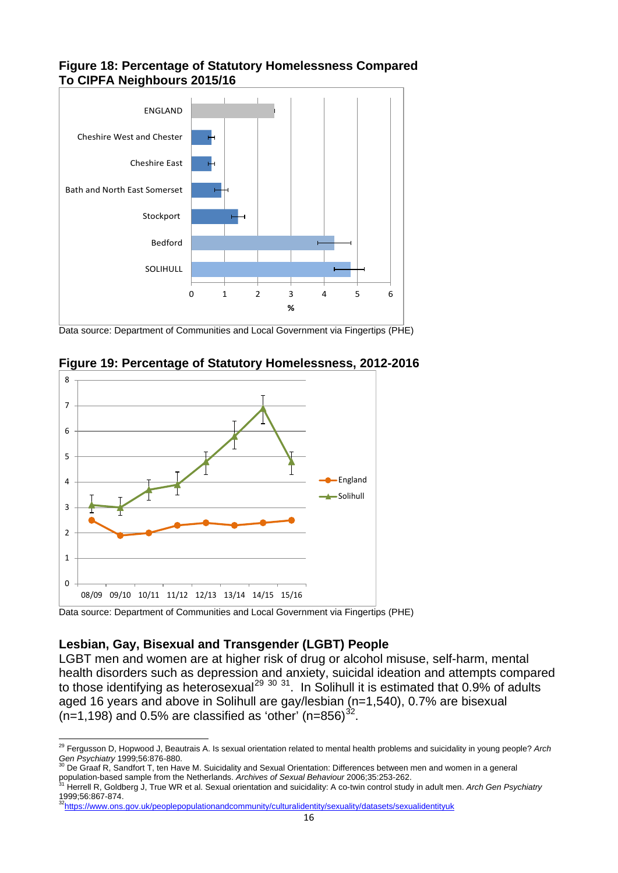#### **Figure 18: Percentage of Statutory Homelessness Compared To CIPFA Neighbours 2015/16**



Data source: Department of Communities and Local Government via Fingertips (PHE)



**Figure 19: Percentage of Statutory Homelessness, 2012-2016**

Data source: Department of Communities and Local Government via Fingertips (PHE)

#### **Lesbian, Gay, Bisexual and Transgender (LGBT) People**

LGBT men and women are at higher risk of drug or alcohol misuse, self-harm, mental health disorders such as depression and anxiety, suicidal ideation and attempts compared to those identifying as heterosexual<sup>[29](#page-15-0) [30](#page-15-1) 31</sup>. In Solihull it is estimated that 0.9% of adults aged 16 years and above in Solihull are gay/lesbian (n=1,540), 0.7% are bisexual (n=1,198) and 0.5% are classified as 'other' (n=856)<sup>[32](#page-15-3)</sup>.

<sup>29</sup> Fergusson D, Hopwood J, Beautrais A. Is sexual orientation related to mental health problems and suicidality in young people? *Arch*   $\overline{a}$ 

<span id="page-15-1"></span><span id="page-15-0"></span>Gen Psychiatry 1999;56:876-880.<br><sup>30</sup> De Graaf R, Sandfort T, ten Have M. Suicidality and Sexual Orientation: Differences between men and women in a general<br>population-based sample from the Netherlands. Archives of Sexual B

<span id="page-15-2"></span>Herrell R, Goldberg J, True WR et al. Sexual orientation and suicidality: A co-twin control study in adult men. Arch Gen Psychiatry 1999;56:867-874.<br><sup>32</sup>https://www.ons.gov.uk/peoplepopulationandcommunity/culturalidentity/sexuality/datasets/sexualidentityuk<sub>.</sub>

<span id="page-15-3"></span>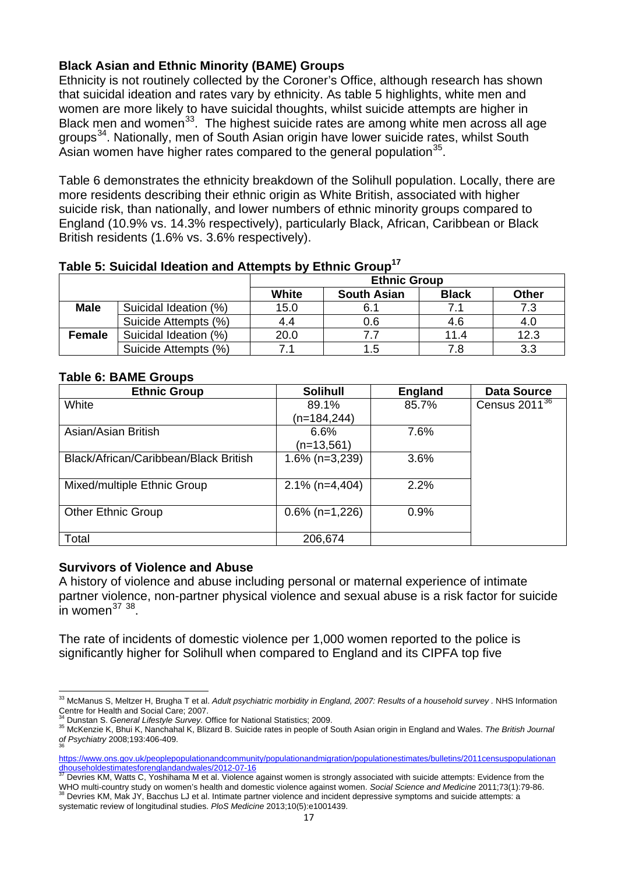#### **Black Asian and Ethnic Minority (BAME) Groups**

Ethnicity is not routinely collected by the Coroner's Office, although research has shown that suicidal ideation and rates vary by ethnicity. As table 5 highlights, white men and women are more likely to have suicidal thoughts, whilst suicide attempts are higher in Black men and women<sup>[33](#page-16-0)</sup>. The highest suicide rates are among white men across all age groups<sup>34</sup>. Nationally, men of South Asian origin have lower suicide rates, whilst South Asian women have higher rates compared to the general population  $35$ .

Table 6 demonstrates the ethnicity breakdown of the Solihull population. Locally, there are more residents describing their ethnic origin as White British, associated with higher suicide risk, than nationally, and lower numbers of ethnic minority groups compared to England (10.9% vs. 14.3% respectively), particularly Black, African, Caribbean or Black British residents (1.6% vs. 3.6% respectively).

|               |                       | <b>Ethnic Group</b> |                    |              |              |  |
|---------------|-----------------------|---------------------|--------------------|--------------|--------------|--|
|               |                       | <b>White</b>        | <b>South Asian</b> | <b>Black</b> | <b>Other</b> |  |
| <b>Male</b>   | Suicidal Ideation (%) | 15.0                | 6.1                |              | 7.3          |  |
|               | Suicide Attempts (%)  | 4.4                 | 0.6                | 4.6          | 4.0          |  |
| <b>Female</b> | Suicidal Ideation (%) | 20.0                |                    | 11.4         | 12.3         |  |
|               | Suicide Attempts (%)  |                     | 1.5                |              | 3.3          |  |

#### **Table 5: Suicidal Ideation and Attempts by Ethnic Group17**

#### **Table 6: BAME Groups**

| <b>Ethnic Group</b>                   | <b>Solihull</b>   | <b>England</b> | <b>Data Source</b> |
|---------------------------------------|-------------------|----------------|--------------------|
| White                                 | 89.1%             | 85.7%          | Census $2011^{36}$ |
|                                       | (n=184,244)       |                |                    |
| Asian/Asian British                   | 6.6%              | 7.6%           |                    |
|                                       | $(n=13,561)$      |                |                    |
| Black/African/Caribbean/Black British | $1.6\%$ (n=3,239) | 3.6%           |                    |
|                                       |                   |                |                    |
| Mixed/multiple Ethnic Group           | $2.1\%$ (n=4,404) | 2.2%           |                    |
|                                       |                   |                |                    |
| <b>Other Ethnic Group</b>             | $0.6\%$ (n=1,226) | 0.9%           |                    |
|                                       |                   |                |                    |
| Total                                 | 206,674           |                |                    |

#### **Survivors of Violence and Abuse**

A history of violence and abuse including personal or maternal experience of intimate partner violence, non-partner physical violence and sexual abuse is a risk factor for suicide in women<sup>[37](#page-16-4) [38](#page-16-5)</sup>.

The rate of incidents of domestic violence per 1,000 women reported to the police is significantly higher for Solihull when compared to England and its CIPFA top five

<span id="page-16-0"></span><sup>&</sup>lt;sup>33</sup> McManus S, Meltzer H, Brugha T et al. *Adult psychiatric morbidity in England, 2007: Results of a household survey .* NHS Information Centre for Health and Social Care; 2007.<br><sup>34</sup> Dunstan S. General Lifestyle Survey. Office for National Statistics; 2009.  $\overline{a}$ 

<span id="page-16-2"></span><span id="page-16-1"></span><sup>&</sup>lt;sup>35</sup> McKenzie K, Bhui K, Nanchahal K, Blizard B. Suicide rates in people of South Asian origin in England and Wales. The British Journal *of Psychiatry* 2008;193:406-409.

<span id="page-16-3"></span>[https://www.ons.gov.uk/peoplepopulationandcommunity/populationandmigration/populationestimates/bulletins/2011censuspopulationan](https://www.ons.gov.uk/peoplepopulationandcommunity/populationandmigration/populationestimates/bulletins/2011censuspopulationandhouseholdestimatesforenglandandwales/2012-07-16)

<span id="page-16-4"></span>[dhouseholdestimatesforenglandandwales/2012-07-16](https://www.ons.gov.uk/peoplepopulationandcommunity/populationandmigration/populationestimates/bulletins/2011censuspopulationandhouseholdestimatesforenglandandwales/2012-07-16)<br>
<sup>37</sup> Devries KM, Watts C, Yoshihama M et al. Violence against women is strongly associated with suicide attempts: Evidence from the<br>
WHO multi-country study on women's heal <sup>38</sup> Devries KM, Mak JY, Bacchus LJ et al. Intimate partner violence and incident depressive symptoms and suicide attempts: a

<span id="page-16-5"></span>systematic review of longitudinal studies. *PloS Medicine* 2013;10(5):e1001439.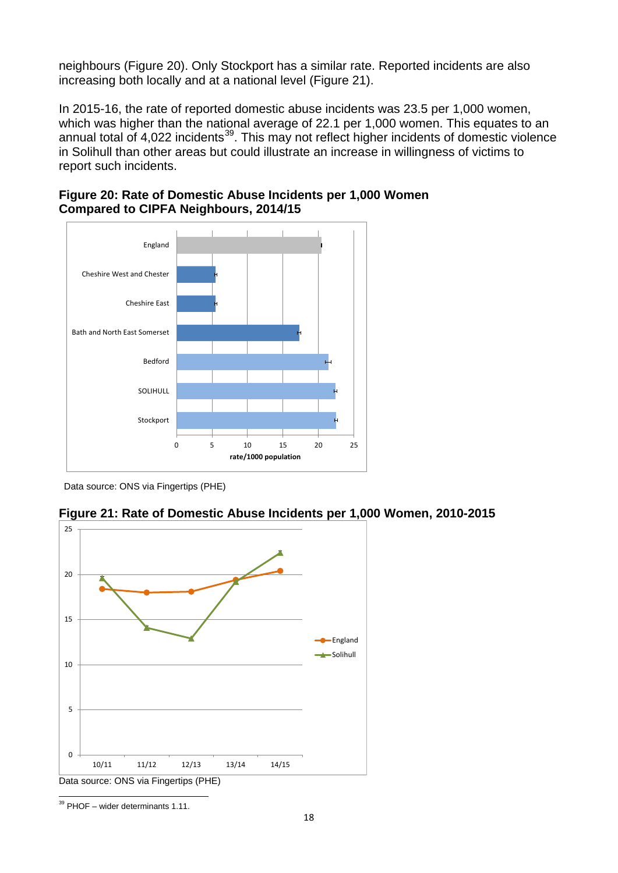neighbours (Figure 20). Only Stockport has a similar rate. Reported incidents are also increasing both locally and at a national level (Figure 21).

In 2015-16, the rate of reported domestic abuse incidents was 23.5 per 1,000 women, which was higher than the national average of 22.1 per 1,000 women. This equates to an annual total of 4,022 incidents<sup>39</sup>. This may not reflect higher incidents of domestic violence in Solihull than other areas but could illustrate an increase in willingness of victims to report such incidents.



**Figure 20: Rate of Domestic Abuse Incidents per 1,000 Women Compared to CIPFA Neighbours, 2014/15**

Data source: ONS via Fingertips (PHE)





<span id="page-17-0"></span> $39$  PHOF – wider determinants 1.11.  $\overline{a}$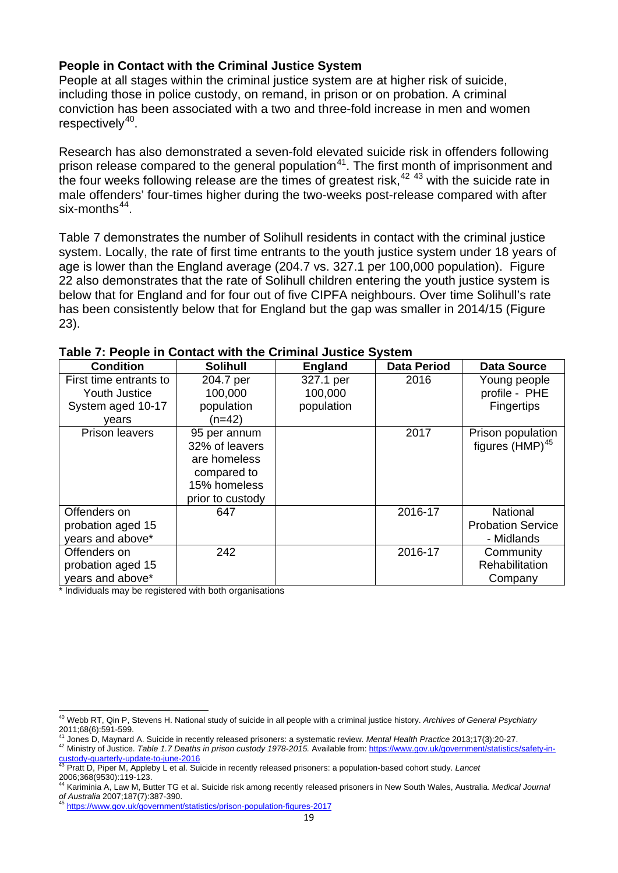#### **People in Contact with the Criminal Justice System**

People at all stages within the criminal justice system are at higher risk of suicide, including those in police custody, on remand, in prison or on probation. A criminal conviction has been associated with a two and three-fold increase in men and women respectively $40$ .

Research has also demonstrated a seven-fold elevated suicide risk in offenders following prison release compared to the general population<sup>41</sup>. The first month of imprisonment and the four weeks following release are the times of greatest risk,<sup>[42](#page-18-2) [43](#page-18-3)</sup> with the suicide rate in male offenders' four-times higher during the two-weeks post-release compared with after six-months $44$ .

Table 7 demonstrates the number of Solihull residents in contact with the criminal justice system. Locally, the rate of first time entrants to the youth justice system under 18 years of age is lower than the England average (204.7 vs. 327.1 per 100,000 population). Figure 22 also demonstrates that the rate of Solihull children entering the youth justice system is below that for England and for four out of five CIPFA neighbours. Over time Solihull's rate has been consistently below that for England but the gap was smaller in 2014/15 (Figure 23).

| <b>Condition</b>                                      | <b>Solihull</b>                                                                                   | <b>England</b> | <b>Data Period</b> | <b>Data Source</b>                                        |
|-------------------------------------------------------|---------------------------------------------------------------------------------------------------|----------------|--------------------|-----------------------------------------------------------|
| First time entrants to                                | 204.7 per                                                                                         | 327.1 per      | 2016               | Young people                                              |
| <b>Youth Justice</b>                                  | 100,000                                                                                           | 100,000        |                    | profile - PHE                                             |
| System aged 10-17                                     | population                                                                                        | population     |                    | <b>Fingertips</b>                                         |
| years                                                 | (n=42)                                                                                            |                |                    |                                                           |
| <b>Prison leavers</b>                                 | 95 per annum<br>32% of leavers<br>are homeless<br>compared to<br>15% homeless<br>prior to custody |                | 2017               | Prison population<br>figures $(HMP)^{45}$                 |
| Offenders on<br>probation aged 15<br>years and above* | 647                                                                                               |                | 2016-17            | <b>National</b><br><b>Probation Service</b><br>- Midlands |
| Offenders on<br>probation aged 15<br>years and above* | 242                                                                                               |                | 2016-17            | Community<br>Rehabilitation<br>Company                    |

#### **Table 7: People in Contact with the Criminal Justice System**

\* Individuals may be registered with both organisations

<sup>40</sup> Webb RT, Qin P, Stevens H. National study of suicide in all people with a criminal justice history. *Archives of General Psychiatry*   $\overline{a}$ 

<span id="page-18-1"></span><span id="page-18-0"></span><sup>2011;68(6):591-599.&</sup>lt;br><sup>41</sup> Jones D, Maynard A. Suicide in recently released prisoners: a systematic review. Mental Health Practice 2013;17(3):20-27.<br><sup>42</sup> Ministry of Justice. Table 1.7 Deaths in prison custody 1978-2015. Ava ustody-quarterly-update-to-june-2016

<span id="page-18-3"></span><span id="page-18-2"></span><sup>43</sup> Pratt D, Piper M, Appleby L et al. Suicide in recently released prisoners: a population-based cohort study. *Lancet*  2006;368(9530):119-123.

<span id="page-18-4"></span><sup>&</sup>lt;sup>44</sup> Kariminia A, Law M, Butter TG et al. Suicide risk among recently released prisoners in New South Wales, Australia. *Medical Journal* of Australia 2007;187(7):387-390.

<span id="page-18-5"></span>https://www.gov.uk/government/statistics/prison-population-figures-2017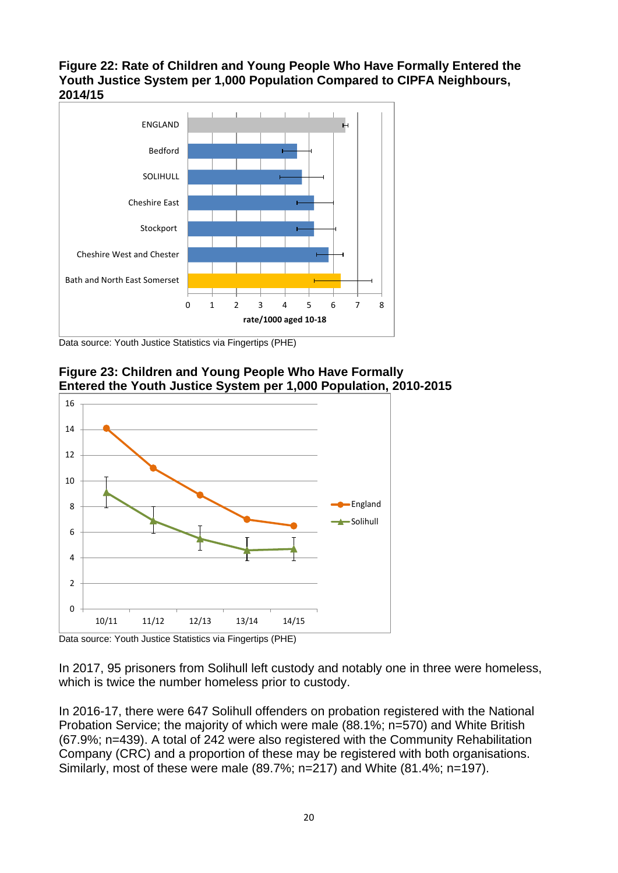**Figure 22: Rate of Children and Young People Who Have Formally Entered the Youth Justice System per 1,000 Population Compared to CIPFA Neighbours, 2014/15**



Data source: Youth Justice Statistics via Fingertips (PHE)



**Figure 23: Children and Young People Who Have Formally Entered the Youth Justice System per 1,000 Population, 2010-2015**

Data source: Youth Justice Statistics via Fingertips (PHE)

In 2017, 95 prisoners from Solihull left custody and notably one in three were homeless, which is twice the number homeless prior to custody.

In 2016-17, there were 647 Solihull offenders on probation registered with the National Probation Service; the majority of which were male (88.1%; n=570) and White British (67.9%; n=439). A total of 242 were also registered with the Community Rehabilitation Company (CRC) and a proportion of these may be registered with both organisations. Similarly, most of these were male (89.7%; n=217) and White (81.4%; n=197).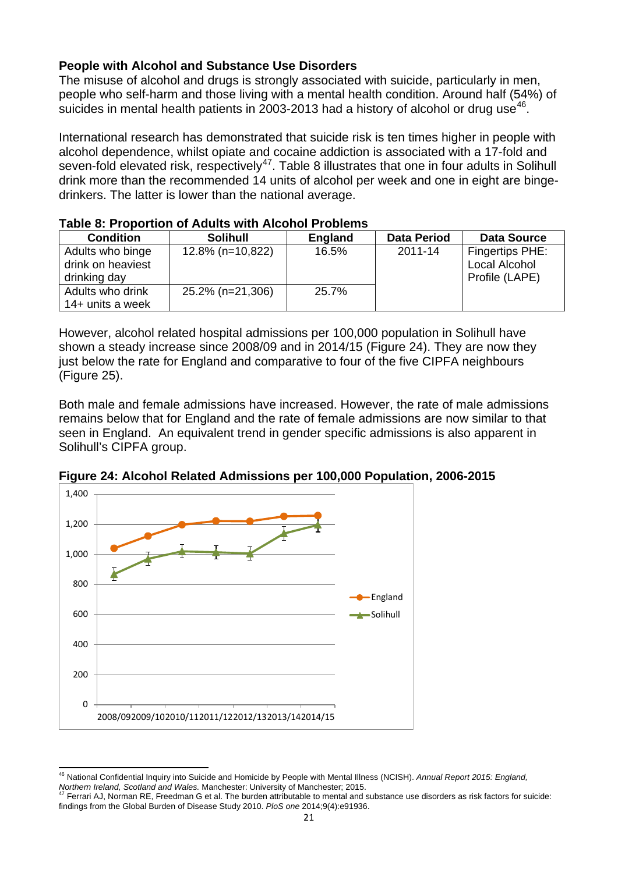#### **People with Alcohol and Substance Use Disorders**

The misuse of alcohol and drugs is strongly associated with suicide, particularly in men, people who self-harm and those living with a mental health condition. Around half (54%) of suicides in mental health patients in 2003-2013 had a history of alcohol or drug use $46$ .

International research has demonstrated that suicide risk is ten times higher in people with alcohol dependence, whilst opiate and cocaine addiction is associated with a 17-fold and seven-fold elevated risk, respectively<sup>[47](#page-20-1)</sup>. Table 8 illustrates that one in four adults in Solihull drink more than the recommended 14 units of alcohol per week and one in eight are bingedrinkers. The latter is lower than the national average.

|                   | <u>RANG 0. I TUNULUUT ULAUULU WILITAIGUNUT TUDIGINU</u> |         |                    |                    |  |  |
|-------------------|---------------------------------------------------------|---------|--------------------|--------------------|--|--|
| <b>Condition</b>  | <b>Solihull</b>                                         | England | <b>Data Period</b> | <b>Data Source</b> |  |  |
| Adults who binge  | 12.8% (n=10,822)                                        | 16.5%   | 2011-14            | Fingertips PHE:    |  |  |
| drink on heaviest |                                                         |         |                    | Local Alcohol      |  |  |
| drinking day      |                                                         |         |                    | Profile (LAPE)     |  |  |
| Adults who drink  | 25.2% (n=21,306)                                        | 25.7%   |                    |                    |  |  |
| 14+ units a week  |                                                         |         |                    |                    |  |  |

### **Table 8: Proportion of Adults with Alcohol Problems**

However, alcohol related hospital admissions per 100,000 population in Solihull have shown a steady increase since 2008/09 and in 2014/15 (Figure 24). They are now they just below the rate for England and comparative to four of the five CIPFA neighbours (Figure 25).

Both male and female admissions have increased. However, the rate of male admissions remains below that for England and the rate of female admissions are now similar to that seen in England. An equivalent trend in gender specific admissions is also apparent in Solihull's CIPFA group.



**Figure 24: Alcohol Related Admissions per 100,000 Population, 2006-2015**

<span id="page-20-0"></span><sup>46</sup> National Confidential Inquiry into Suicide and Homicide by People with Mental Illness (NCISH). *Annual Report 2015: England, Northern Ireland, Scotland and Wales.* Manchester: University of Manchester; 2015. 47 Ferrari AJ, Norman RE, Freedman G et al. The burden attributable to mental and substance use disorders as risk factors for suicide:  $\overline{a}$ 

<span id="page-20-1"></span>findings from the Global Burden of Disease Study 2010. *PloS one* 2014;9(4):e91936.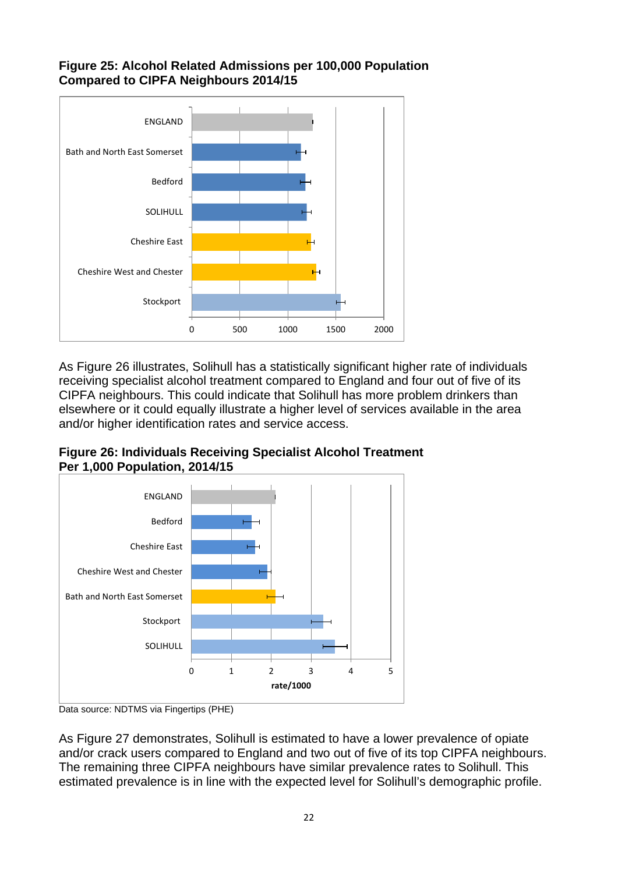#### **Figure 25: Alcohol Related Admissions per 100,000 Population Compared to CIPFA Neighbours 2014/15**



As Figure 26 illustrates, Solihull has a statistically significant higher rate of individuals receiving specialist alcohol treatment compared to England and four out of five of its CIPFA neighbours. This could indicate that Solihull has more problem drinkers than elsewhere or it could equally illustrate a higher level of services available in the area and/or higher identification rates and service access.





Data source: NDTMS via Fingertips (PHE)

As Figure 27 demonstrates, Solihull is estimated to have a lower prevalence of opiate and/or crack users compared to England and two out of five of its top CIPFA neighbours. The remaining three CIPFA neighbours have similar prevalence rates to Solihull. This estimated prevalence is in line with the expected level for Solihull's demographic profile.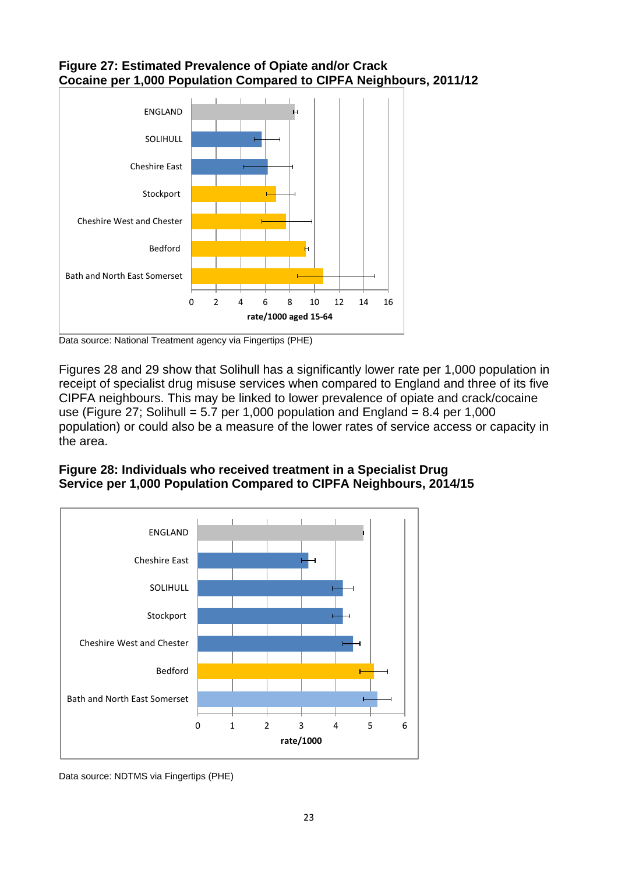



Data source: National Treatment agency via Fingertips (PHE)

Figures 28 and 29 show that Solihull has a significantly lower rate per 1,000 population in receipt of specialist drug misuse services when compared to England and three of its five CIPFA neighbours. This may be linked to lower prevalence of opiate and crack/cocaine use (Figure 27; Solihull = 5.7 per 1,000 population and England = 8.4 per 1,000 population) or could also be a measure of the lower rates of service access or capacity in the area.





Data source: NDTMS via Fingertips (PHE)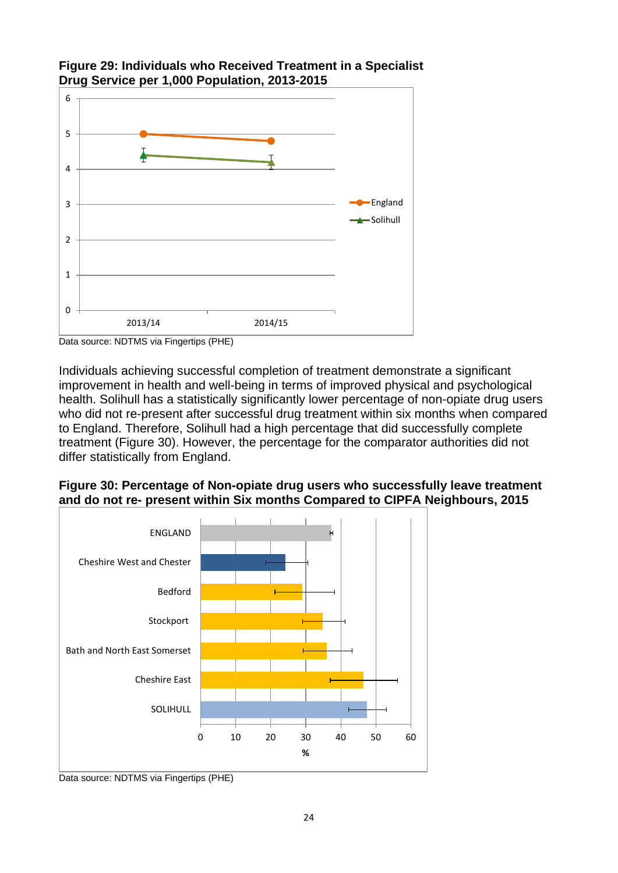

#### **Figure 29: Individuals who Received Treatment in a Specialist Drug Service per 1,000 Population, 2013-2015**

Individuals achieving successful completion of treatment demonstrate a significant improvement in health and well-being in terms of improved physical and psychological health. Solihull has a statistically significantly lower percentage of non-opiate drug users who did not re-present after successful drug treatment within six months when compared to England. Therefore, Solihull had a high percentage that did successfully complete treatment (Figure 30). However, the percentage for the comparator authorities did not differ statistically from England.

#### **Figure 30: Percentage of Non-opiate drug users who successfully leave treatment and do not re- present within Six months Compared to CIPFA Neighbours, 2015**



Data source: NDTMS via Fingertips (PHE)

Data source: NDTMS via Fingertips (PHE)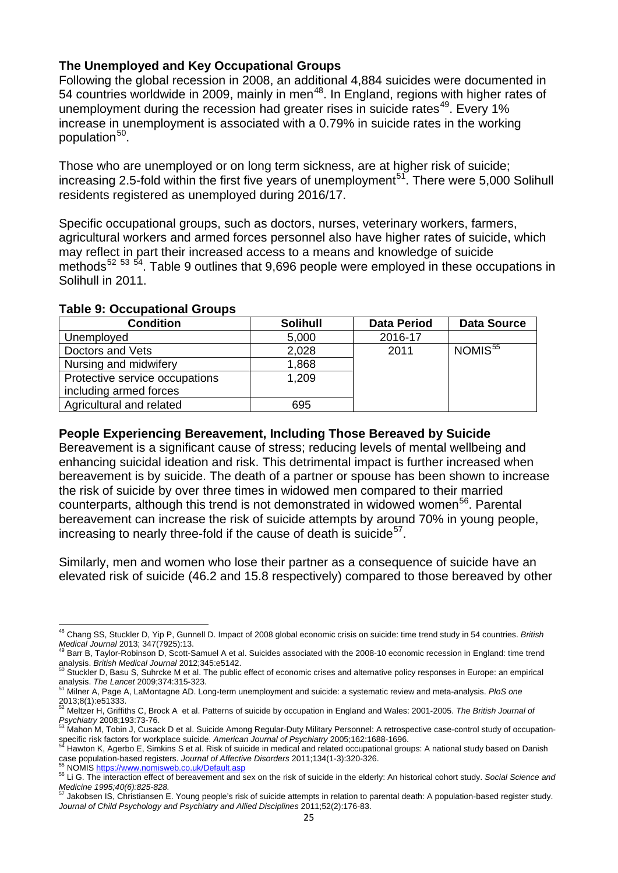#### **The Unemployed and Key Occupational Groups**

Following the global recession in 2008, an additional 4,884 suicides were documented in 54 countries worldwide in 2009, mainly in men<sup>48</sup>. In England, regions with higher rates of unemployment during the recession had greater rises in suicide rates<sup>49</sup>. Every 1% increase in unemployment is associated with a 0.79% in suicide rates in the working population<sup>[50](#page-24-2)</sup>.

Those who are unemployed or on long term sickness, are at higher risk of suicide; increasing 2.5-fold within the first five years of unemployment<sup>51</sup>. There were 5,000 Solihull residents registered as unemployed during 2016/17.

Specific occupational groups, such as doctors, nurses, veterinary workers, farmers, agricultural workers and armed forces personnel also have higher rates of suicide, which may reflect in part their increased access to a means and knowledge of suicide methods<sup>[52](#page-24-4) [53](#page-24-5) 54</sup>. Table 9 outlines that 9,696 people were employed in these occupations in Solihull in 2011.

| <b>Condition</b>                                         | <b>Solihull</b> | <b>Data Period</b> | <b>Data Source</b>  |
|----------------------------------------------------------|-----------------|--------------------|---------------------|
| Unemployed                                               | 5,000           | 2016-17            |                     |
| Doctors and Vets                                         | 2,028           | 2011               | NOMIS <sup>55</sup> |
| Nursing and midwifery                                    | 1,868           |                    |                     |
| Protective service occupations<br>including armed forces | 1.209           |                    |                     |
| Agricultural and related                                 | 695             |                    |                     |

#### **Table 9: Occupational Groups**

#### **People Experiencing Bereavement, Including Those Bereaved by Suicide**

Bereavement is a significant cause of stress; reducing levels of mental wellbeing and enhancing suicidal ideation and risk. This detrimental impact is further increased when bereavement is by suicide. The death of a partner or spouse has been shown to increase the risk of suicide by over three times in widowed men compared to their married counterparts, although this trend is not demonstrated in widowed women<sup>56</sup>. Parental bereavement can increase the risk of suicide attempts by around 70% in young people, increasing to nearly three-fold if the cause of death is suicide $57$ .

Similarly, men and women who lose their partner as a consequence of suicide have an elevated risk of suicide (46.2 and 15.8 respectively) compared to those bereaved by other

<span id="page-24-0"></span><sup>48</sup> Chang SS, Stuckler D, Yip P, Gunnell D. Impact of 2008 global economic crisis on suicide: time trend study in 54 countries. *British*  Medical Journal 2013; 347(7925):13.<br><sup>49</sup> Barr B, Taylor-Robinson D, Scott-Samuel A et al. Suicides associated with the 2008-10 economic recession in England: time trend  $\overline{a}$ 

<span id="page-24-1"></span>analysis. *British Medical Journal* 2012;345:e5142.<br>50 Stuckler D, Basu S, Suhrcke M et al. The public effect of economic crises and alternative policy responses in Europe: an empirical<sup>50</sup><br>50 Stuckler D, Basu S, Suhrcke M

<span id="page-24-2"></span>analysis. *The Lancet 2009;374:315-323.*<br>analysis. *The Lancet 2009;374:315-323.*<br><sup>51</sup> Milner A, Page A, LaMontagne AD. Long-term unemployment and suicide: a systematic review and meta-analysis. *PloS one* 

<span id="page-24-3"></span>

<sup>2013;8(1):</sup>e51333. 52 Meltzer H, Griffiths C, Brock A et al. Patterns of suicide by occupation in England and Wales: 2001-2005. *The British Journal of* 

<span id="page-24-4"></span>Psychiatry 2008;193:73-76.<br><sup>53</sup> Mahon M, Tobin J, Cusack D et al. Suicide Among Regular-Duty Military Personnel: A retrospective case-control study of occupation-

<span id="page-24-6"></span><span id="page-24-5"></span>specific risk factors for workplace suicide. American Journal of Psychiatry 2005;162:1688-1696.<br><sup>54</sup> Hawton K, Agerbo E, Simkins S et al. Risk of suicide in medical and related occupational groups: A national study based o

<span id="page-24-8"></span><span id="page-24-7"></span><sup>55</sup> NOMIS<https://www.nomisweb.co.uk/Default.asp><br>56 Li G. The interaction effect of bereavement and sex on the risk of suicide in the elderly: An historical cohort study. Social Science and

<span id="page-24-9"></span>*Medicine 1995;40(6):825-828.*<br><sup>57</sup> Jakobsen IS, Christiansen E. Young people's risk of suicide attempts in relation to parental death: A population-based register study. *Journal of Child Psychology and Psychiatry and Allied Disciplines* 2011;52(2):176-83.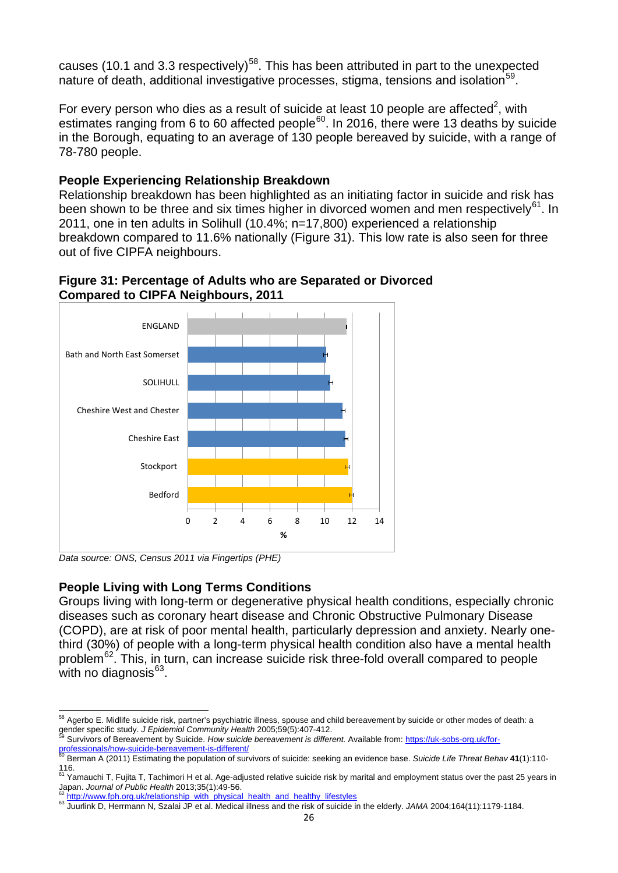causes (10.1 and 3.3 respectively)<sup>58</sup>. This has been attributed in part to the unexpected nature of death, additional investigative processes, stigma, tensions and isolation<sup>[59](#page-25-1)</sup>.

For every person who dies as a result of suicide at least 10 people are affected<sup>2</sup>, with estimates ranging from 6 to 60 affected people $^{60}$ . In 2016, there were 13 deaths by suicide in the Borough, equating to an average of 130 people bereaved by suicide, with a range of 78-780 people.

#### **People Experiencing Relationship Breakdown**

Relationship breakdown has been highlighted as an initiating factor in suicide and risk has been shown to be three and six times higher in divorced women and men respectively<sup>61</sup>. In 2011, one in ten adults in Solihull (10.4%; n=17,800) experienced a relationship breakdown compared to 11.6% nationally (Figure 31). This low rate is also seen for three out of five CIPFA neighbours.





*Data source: ONS, Census 2011 via Fingertips (PHE)*

 $\overline{a}$ 

#### **People Living with Long Terms Conditions**

Groups living with long-term or degenerative physical health conditions, especially chronic diseases such as coronary heart disease and Chronic Obstructive Pulmonary Disease (COPD), are at risk of poor mental health, particularly depression and anxiety. Nearly onethird (30%) of people with a long-term physical health condition also have a mental health problem[62](#page-25-4). This, in turn, can increase suicide risk three-fold overall compared to people with no diagnosis $63$ .

<span id="page-25-0"></span> $^{58}$  Agerbo E. Midlife suicide risk, partner's psychiatric illness, spouse and child bereavement by suicide or other modes of death: a gender specific study. *J Epidemiol Community Health* 2005;59(5):407-412.<br><sup>59</sup> Survivors of Bereavement by Suicide. *How suicide bereavement is different*. Available from: [https://uk-sobs-org.uk/for-](https://uk-sobs-org.uk/for-professionals/how-suicide-bereavement-is-different/)

<span id="page-25-1"></span>[professionals/how-suicide-bereavement-is-different/](https://uk-sobs-org.uk/for-professionals/how-suicide-bereavement-is-different/)<br><sup>60</sup> Berman A (2011) Estimating the population of survivors of suicide: seeking an evidence base. *Suicide Life Threat Behav* **41**(1):110-

<span id="page-25-3"></span><span id="page-25-2"></span><sup>116.&</sup>lt;br><sup>61</sup> Yamauchi T, Fujita T, Tachimori H et al. Age-adjusted relative suicide risk by marital and employment status over the past 25 years in Japan. *Journal of Public Health* 2013;35(1):49-56.<br><sup>62</sup> [http://www.fph.org.uk/relationship\\_with\\_physical\\_health\\_and\\_healthy\\_lifestyles](http://www.fph.org.uk/relationship_with_physical_health_and_healthy_lifestyles)<br><sup>63</sup> Juurlink D, Herrmann N, Szalai JP et al. Medical illness and the risk of suicide

<span id="page-25-4"></span>

<span id="page-25-5"></span>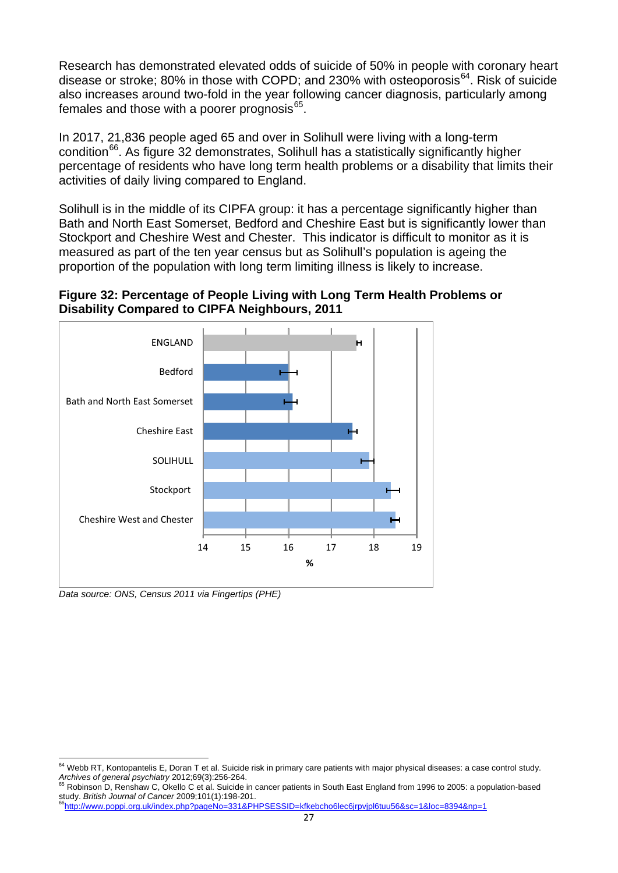Research has demonstrated elevated odds of suicide of 50% in people with coronary heart disease or stroke; 80% in those with COPD; and 230% with osteoporosis $^{64}$ . Risk of suicide also increases around two-fold in the year following cancer diagnosis, particularly among females and those with a poorer prognosis $65$ .

In 2017, 21,836 people aged 65 and over in Solihull were living with a long-term condition<sup>[66](#page-26-2)</sup>. As figure 32 demonstrates, Solihull has a statistically significantly higher percentage of residents who have long term health problems or a disability that limits their activities of daily living compared to England.

Solihull is in the middle of its CIPFA group: it has a percentage significantly higher than Bath and North East Somerset, Bedford and Cheshire East but is significantly lower than Stockport and Cheshire West and Chester. This indicator is difficult to monitor as it is measured as part of the ten year census but as Solihull's population is ageing the proportion of the population with long term limiting illness is likely to increase.





*Data source: ONS, Census 2011 via Fingertips (PHE)*

<span id="page-26-0"></span> $^{64}$  Webb RT, Kontopantelis E, Doran T et al. Suicide risk in primary care patients with major physical diseases: a case control study. *Archives of general psychiatry* 2012;69(3):256-264. 65 Robinson D, Renshaw C, Okello C et al. Suicide in cancer patients in South East England from 1996 to 2005: a population-based  $\overline{a}$ 

<span id="page-26-1"></span>study. *British Journal of Cancer* 2009;101(1):198-201.<br><sup>66</sup>http://www.poppi.org.uk/index.php?pageNo=331&PHPSESSID=kfkebcho6lec6jrpvjpl6tuu56&sc=1&loc=8394&np=1

<span id="page-26-2"></span>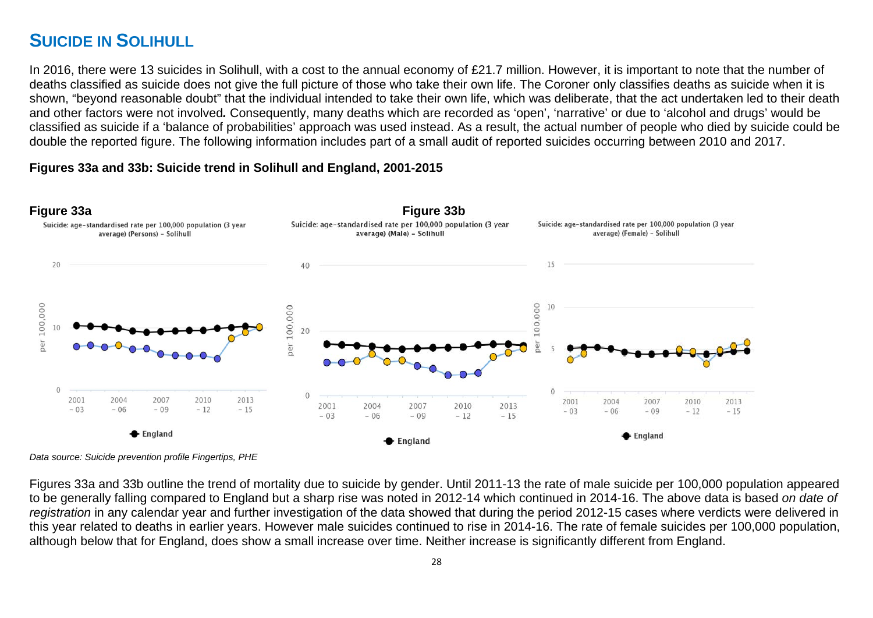# **SUICIDE IN SOLIHULL**

In 2016, there were 13 suicides in Solihull, with a cost to the annual economy of £21.7 million. However, it is important to note that the number of deaths classified as suicide does not give the full picture of those who take their own life. The Coroner only classifies deaths as suicide when it is shown, "beyond reasonable doubt" that the individual intended to take their own life, which was deliberate, that the act undertaken led to their death and other factors were not involved*.* Consequently, many deaths which are recorded as 'open', 'narrative' or due to 'alcohol and drugs' would be classified as suicide if a 'balance of probabilities' approach was used instead. As a result, the actual number of people who died by suicide could be double the reported figure. The following information includes part of a small audit of reported suicides occurring between 2010 and 2017.

#### **Figures 33a and 33b: Suicide trend in Solihull and England, 2001-2015**



*Data source: Suicide prevention profile Fingertips, PHE*

Figures 33a and 33b outline the trend of mortality due to suicide by gender. Until 2011-13 the rate of male suicide per 100,000 population appeared to be generally falling compared to England but a sharp rise was noted in 2012-14 which continued in 2014-16. The above data is based *on date of registration* in any calendar year and further investigation of the data showed that during the period 2012-15 cases where verdicts were delivered in this year related to deaths in earlier years. However male suicides continued to rise in 2014-16. The rate of female suicides per 100,000 population, although below that for England, does show a small increase over time. Neither increase is significantly different from England.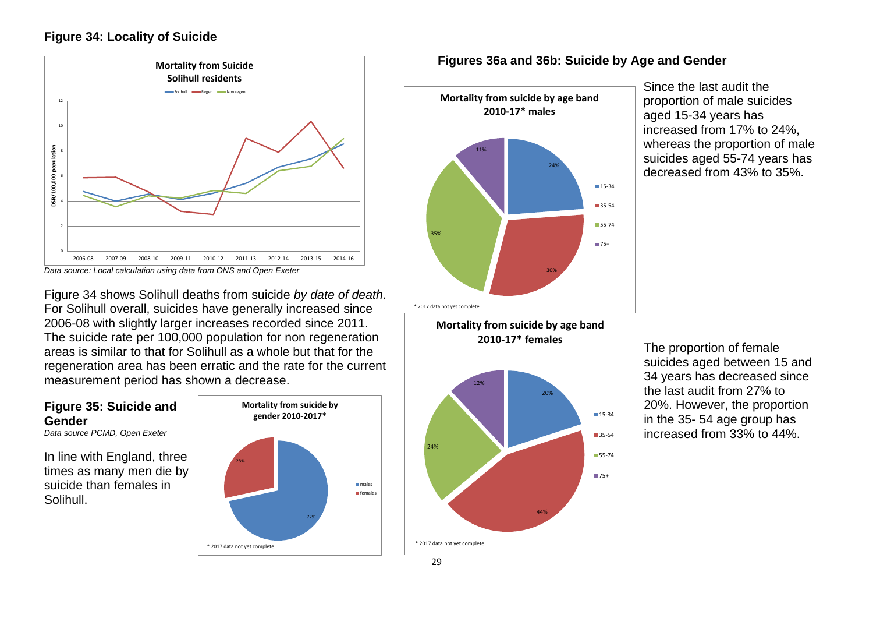#### **Figure 34: Locality of Suicide**





Figure 34 shows Solihull deaths from suicide *by date of death*. For Solihull overall, suicides have generally increased since 2006-08 with slightly larger increases recorded since 2011. The suicide rate per 100,000 population for non regeneration areas is similar to that for Solihull as a whole but that for the regeneration area has been erratic and the rate for the current measurement period has shown a decrease.

#### **Figure 35: Suicide and Gender**

*Data source PCMD, Open Exeter* 

In line with England, three times as many men die by suicide than females in Solihull.



#### **Figures 36a and 36b: Suicide by Age and Gender**



**Mortality from suicide by age band 2010-17\* females**



Since the last audit the proportion of male suicides aged 15-34 years has increased from 17% to 24%, whereas the proportion of male suicides aged 55-74 years has decreased from 43% to 35%.

The proportion of female suicides aged between 15 and 34 years has decreased since the last audit from 27% to 20%. However, the proportion in the 35- 54 age group has increased from 33% to 44%.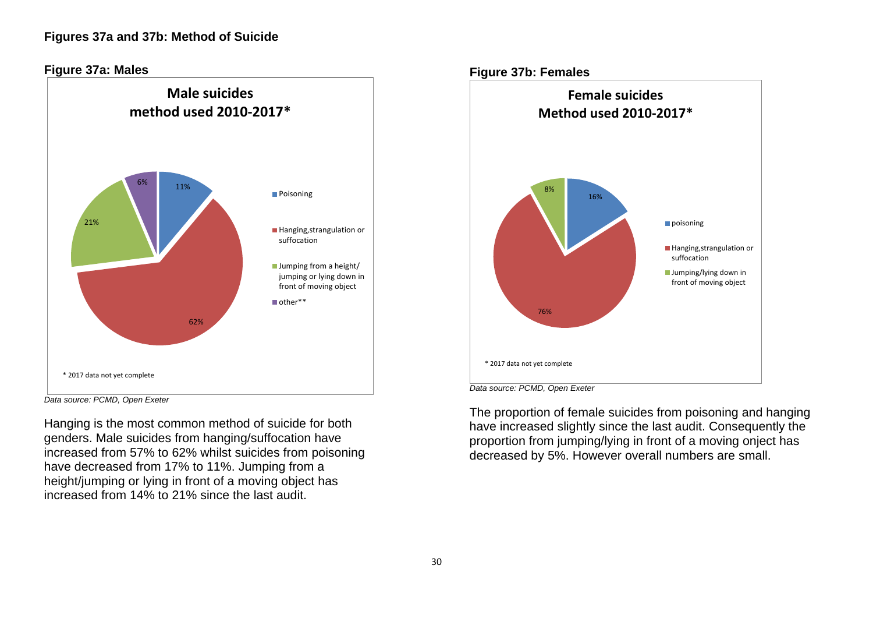

*Data source: PCMD, Open Exeter* 

Hanging is the most common method of suicide for both genders. Male suicides from hanging/suffocation have increased from 57% to 62% whilst suicides from poisoning have decreased from 17% to 11%. Jumping from a height/jumping or lying in front of a moving object has increased from 14% to 21% since the last audit.

The proportion of female suicides from poisoning and hanging have increased slightly since the last audit. Consequently the proportion from jumping/lying in front of a moving onject has decreased by 5%. However overall numbers are small.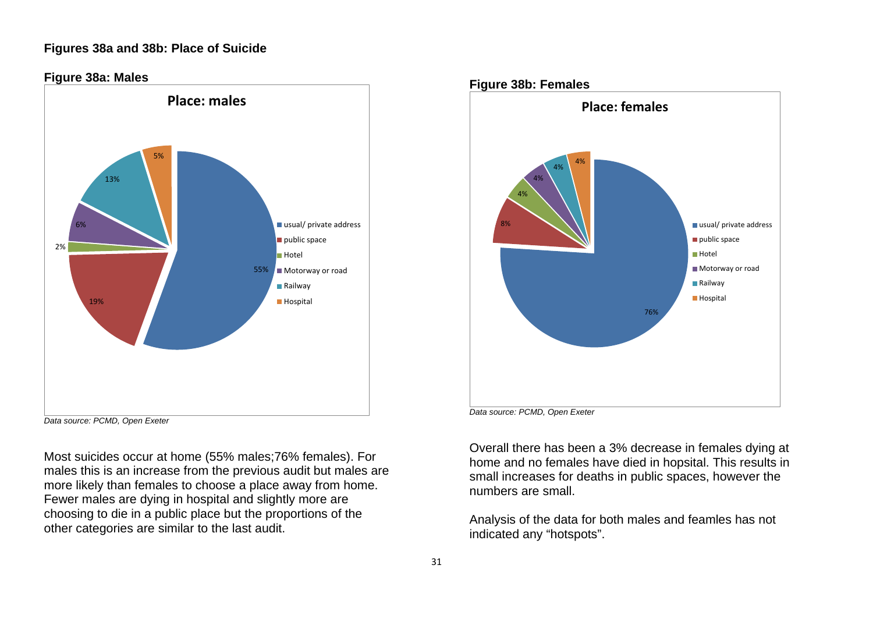#### **Figures 38a and 38b: Place of Suicide**





Most suicides occur at home (55% males;76% females). For males this is an increase from the previous audit but males are more likely than females to choose a place away from home. Fewer males are dying in hospital and slightly more are choosing to die in a public place but the proportions of the other categories are similar to the last audit.



*Data source: PCMD, Open Exeter* 

Overall there has been a 3% decrease in females dying at home and no females have died in hopsital. This results in small increases for deaths in public spaces, however the numbers are small.

Analysis of the data for both males and feamles has not indicated any "hotspots".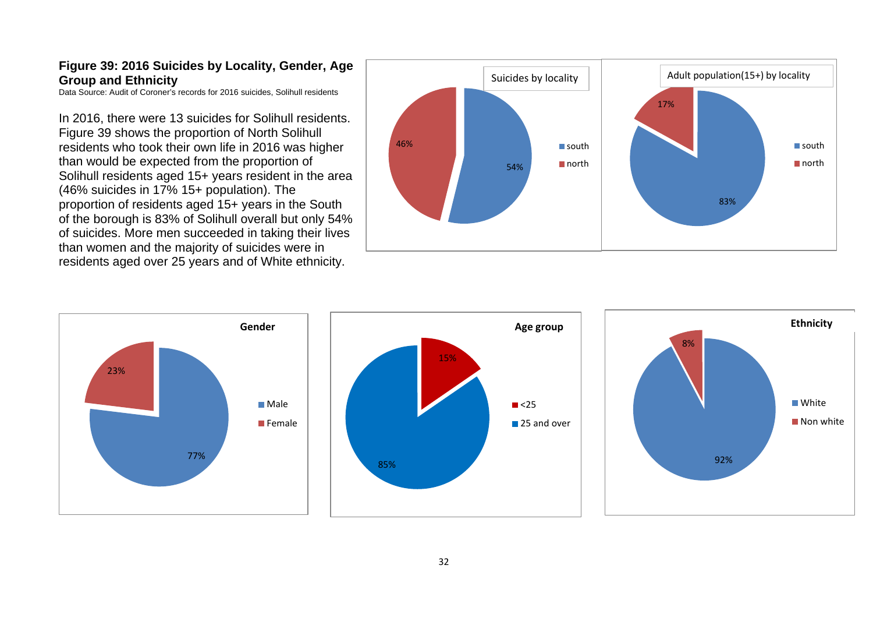#### **Figure 39: 2016 Suicides by Locality, Gender, Age Group and Ethnicity**

Data Source: Audit of Coroner's records for 2016 suicides, Solihull residents

In 2016, there were 13 suicides for Solihull residents. Figure 39 shows the proportion of North Solihull residents who took their own life in 2016 was higher than would be expected from the proportion of Solihull residents aged 15+ years resident in the area (46% suicides in 17% 15+ population). The proportion of residents aged 15+ years in the South of the borough is 83% of Solihull overall but only 54% of suicides. More men succeeded in taking their lives than women and the majority of suicides were in residents aged over 25 years and of White ethnicity.



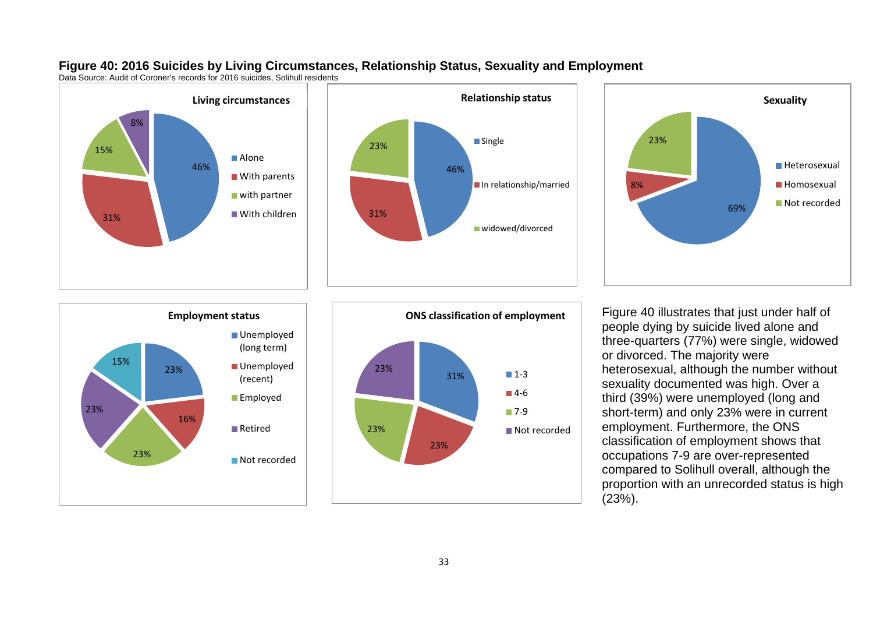









**ONS** classification of employment Figure 40 illustrates that just under half of people dying by suicide lived alone and three-quarters (77%) were single, widowed or divorced. The majority were heterosexual, although the number without sexuality documented was high. Over a third (39%) were unemployed (long and short-term) and only 23% were in current employment. Furthermore, the ONS classification of employment shows that occupations 7-9 are over-represented compared to Solihull overall, although the proportion with an unrecorded status is high (23%).

#### **Figure 40: 2016 Suicides by Living Circumstances, Relationship Status, Sexuality and Employment**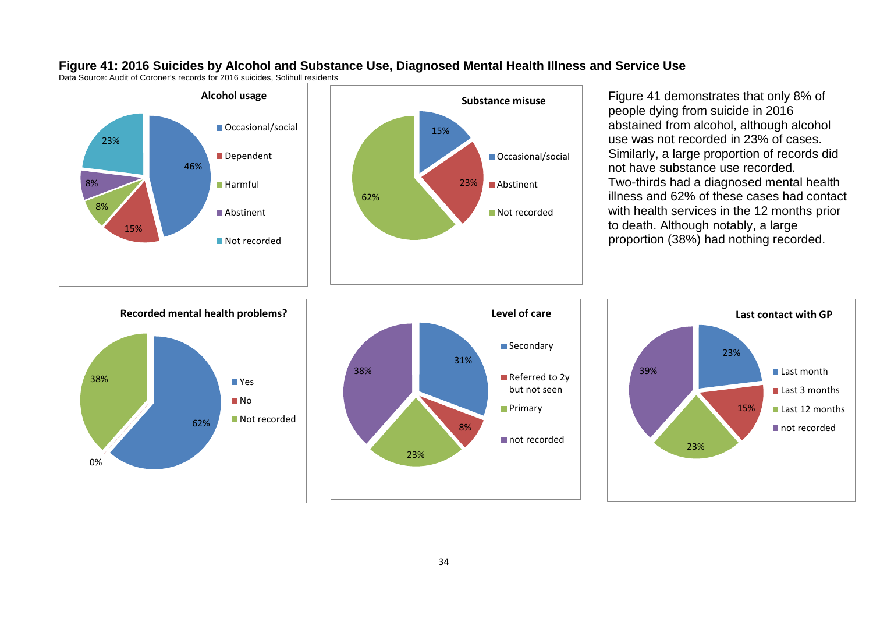

Data Source: Audit of Coroner's records for 2016 suicides, Solihull residents





Figure 41 demonstrates that only 8% of people dying from suicide in 2016 abstained from alcohol, although alcohol use was not recorded in 23% of cases. Similarly, a large proportion of records did not have substance use recorded. Two-thirds had a diagnosed mental health illness and 62% of these cases had contact with health services in the 12 months prior to death. Although notably, a large proportion (38%) had nothing recorded.